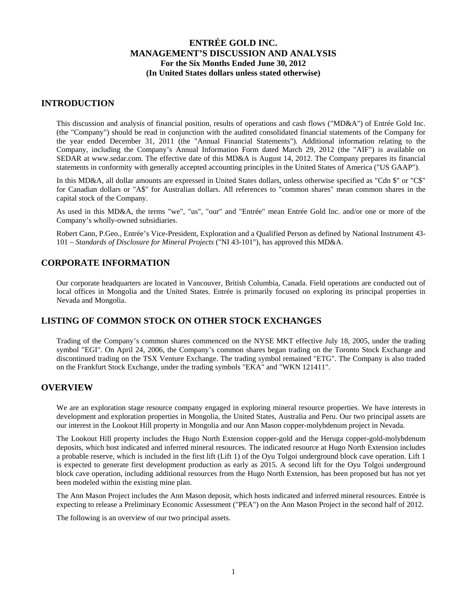## **INTRODUCTION**

This discussion and analysis of financial position, results of operations and cash flows ("MD&A") of Entrée Gold Inc. (the "Company") should be read in conjunction with the audited consolidated financial statements of the Company for the year ended December 31, 2011 (the "Annual Financial Statements"). Additional information relating to the Company, including the Company's Annual Information Form dated March 29, 2012 (the "AIF") is available on SEDAR at www.sedar.com. The effective date of this MD&A is August 14, 2012. The Company prepares its financial statements in conformity with generally accepted accounting principles in the United States of America ("US GAAP").

In this MD&A, all dollar amounts are expressed in United States dollars, unless otherwise specified as "Cdn \$" or "C\$" for Canadian dollars or "A\$" for Australian dollars. All references to "common shares" mean common shares in the capital stock of the Company.

As used in this MD&A, the terms "we", "us", "our" and "Entrée" mean Entrée Gold Inc. and/or one or more of the Company's wholly-owned subsidiaries.

Robert Cann, P.Geo., Entrée's Vice-President, Exploration and a Qualified Person as defined by National Instrument 43- 101 – *Standards of Disclosure for Mineral Projects* ("NI 43-101"), has approved this MD&A.

# **CORPORATE INFORMATION**

Our corporate headquarters are located in Vancouver, British Columbia, Canada. Field operations are conducted out of local offices in Mongolia and the United States. Entrée is primarily focused on exploring its principal properties in Nevada and Mongolia.

# **LISTING OF COMMON STOCK ON OTHER STOCK EXCHANGES**

Trading of the Company's common shares commenced on the NYSE MKT effective July 18, 2005, under the trading symbol "EGI". On April 24, 2006, the Company's common shares began trading on the Toronto Stock Exchange and discontinued trading on the TSX Venture Exchange. The trading symbol remained "ETG". The Company is also traded on the Frankfurt Stock Exchange, under the trading symbols "EKA" and "WKN 121411".

# **OVERVIEW**

We are an exploration stage resource company engaged in exploring mineral resource properties. We have interests in development and exploration properties in Mongolia, the United States, Australia and Peru. Our two principal assets are our interest in the Lookout Hill property in Mongolia and our Ann Mason copper-molybdenum project in Nevada.

The Lookout Hill property includes the Hugo North Extension copper-gold and the Heruga copper-gold-molybdenum deposits, which host indicated and inferred mineral resources. The indicated resource at Hugo North Extension includes a probable reserve, which is included in the first lift (Lift 1) of the Oyu Tolgoi underground block cave operation. Lift 1 is expected to generate first development production as early as 2015. A second lift for the Oyu Tolgoi underground block cave operation, including additional resources from the Hugo North Extension, has been proposed but has not yet been modeled within the existing mine plan.

The Ann Mason Project includes the Ann Mason deposit, which hosts indicated and inferred mineral resources. Entrée is expecting to release a Preliminary Economic Assessment ("PEA") on the Ann Mason Project in the second half of 2012.

The following is an overview of our two principal assets.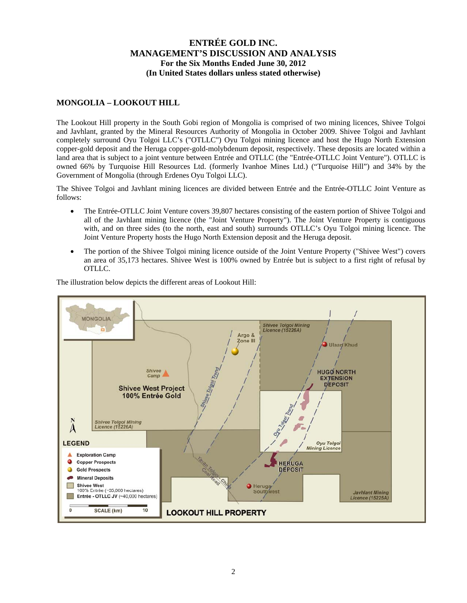## **MONGOLIA – LOOKOUT HILL**

The Lookout Hill property in the South Gobi region of Mongolia is comprised of two mining licences, Shivee Tolgoi and Javhlant, granted by the Mineral Resources Authority of Mongolia in October 2009. Shivee Tolgoi and Javhlant completely surround Oyu Tolgoi LLC's ("OTLLC") Oyu Tolgoi mining licence and host the Hugo North Extension copper-gold deposit and the Heruga copper-gold-molybdenum deposit, respectively. These deposits are located within a land area that is subject to a joint venture between Entrée and OTLLC (the "Entrée-OTLLC Joint Venture"). OTLLC is owned 66% by Turquoise Hill Resources Ltd. (formerly Ivanhoe Mines Ltd.) ("Turquoise Hill") and 34% by the Government of Mongolia (through Erdenes Oyu Tolgoi LLC).

The Shivee Tolgoi and Javhlant mining licences are divided between Entrée and the Entrée-OTLLC Joint Venture as follows:

- The Entrée-OTLLC Joint Venture covers 39,807 hectares consisting of the eastern portion of Shivee Tolgoi and all of the Javhlant mining licence (the "Joint Venture Property"). The Joint Venture Property is contiguous with, and on three sides (to the north, east and south) surrounds OTLLC's Oyu Tolgoi mining licence. The Joint Venture Property hosts the Hugo North Extension deposit and the Heruga deposit.
- The portion of the Shivee Tolgoi mining licence outside of the Joint Venture Property ("Shivee West") covers an area of 35,173 hectares. Shivee West is 100% owned by Entrée but is subject to a first right of refusal by OTLLC.



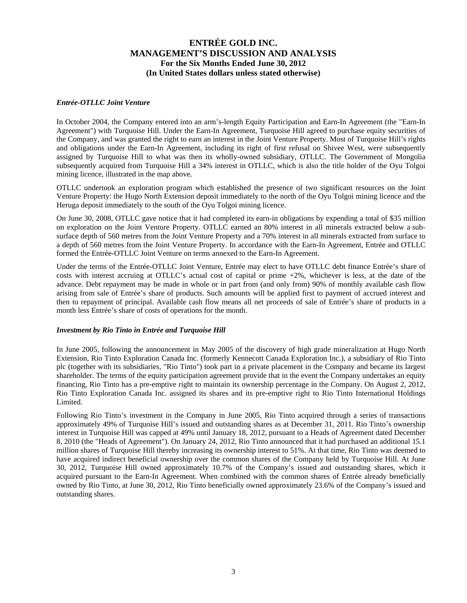### *Entrée-OTLLC Joint Venture*

In October 2004, the Company entered into an arm's-length Equity Participation and Earn-In Agreement (the "Earn-In Agreement") with Turquoise Hill. Under the Earn-In Agreement, Turquoise Hill agreed to purchase equity securities of the Company, and was granted the right to earn an interest in the Joint Venture Property. Most of Turquoise Hill's rights and obligations under the Earn-In Agreement, including its right of first refusal on Shivee West, were subsequently assigned by Turquoise Hill to what was then its wholly-owned subsidiary, OTLLC. The Government of Mongolia subsequently acquired from Turquoise Hill a 34% interest in OTLLC, which is also the title holder of the Oyu Tolgoi mining licence, illustrated in the map above.

OTLLC undertook an exploration program which established the presence of two significant resources on the Joint Venture Property: the Hugo North Extension deposit immediately to the north of the Oyu Tolgoi mining licence and the Heruga deposit immediately to the south of the Oyu Tolgoi mining licence.

On June 30, 2008, OTLLC gave notice that it had completed its earn-in obligations by expending a total of \$35 million on exploration on the Joint Venture Property. OTLLC earned an 80% interest in all minerals extracted below a subsurface depth of 560 metres from the Joint Venture Property and a 70% interest in all minerals extracted from surface to a depth of 560 metres from the Joint Venture Property. In accordance with the Earn-In Agreement, Entrée and OTLLC formed the Entrée-OTLLC Joint Venture on terms annexed to the Earn-In Agreement.

Under the terms of the Entrée-OTLLC Joint Venture, Entrée may elect to have OTLLC debt finance Entrée's share of costs with interest accruing at OTLLC's actual cost of capital or prime +2%, whichever is less, at the date of the advance. Debt repayment may be made in whole or in part from (and only from) 90% of monthly available cash flow arising from sale of Entrée's share of products. Such amounts will be applied first to payment of accrued interest and then to repayment of principal. Available cash flow means all net proceeds of sale of Entrée's share of products in a month less Entrée's share of costs of operations for the month.

### *Investment by Rio Tinto in Entrée and Turquoise Hill*

In June 2005, following the announcement in May 2005 of the discovery of high grade mineralization at Hugo North Extension, Rio Tinto Exploration Canada Inc. (formerly Kennecott Canada Exploration Inc.), a subsidiary of Rio Tinto plc (together with its subsidiaries, "Rio Tinto") took part in a private placement in the Company and became its largest shareholder. The terms of the equity participation agreement provide that in the event the Company undertakes an equity financing, Rio Tinto has a pre-emptive right to maintain its ownership percentage in the Company. On August 2, 2012, Rio Tinto Exploration Canada Inc. assigned its shares and its pre-emptive right to Rio Tinto International Holdings Limited.

Following Rio Tinto's investment in the Company in June 2005, Rio Tinto acquired through a series of transactions approximately 49% of Turquoise Hill's issued and outstanding shares as at December 31, 2011. Rio Tinto's ownership interest in Turquoise Hill was capped at 49% until January 18, 2012, pursuant to a Heads of Agreement dated December 8, 2010 (the "Heads of Agreement"). On January 24, 2012, Rio Tinto announced that it had purchased an additional 15.1 million shares of Turquoise Hill thereby increasing its ownership interest to 51%. At that time, Rio Tinto was deemed to have acquired indirect beneficial ownership over the common shares of the Company held by Turquoise Hill. At June 30, 2012, Turquoise Hill owned approximately 10.7% of the Company's issued and outstanding shares, which it acquired pursuant to the Earn-In Agreement. When combined with the common shares of Entrée already beneficially owned by Rio Tinto, at June 30, 2012, Rio Tinto beneficially owned approximately 23.6% of the Company's issued and outstanding shares.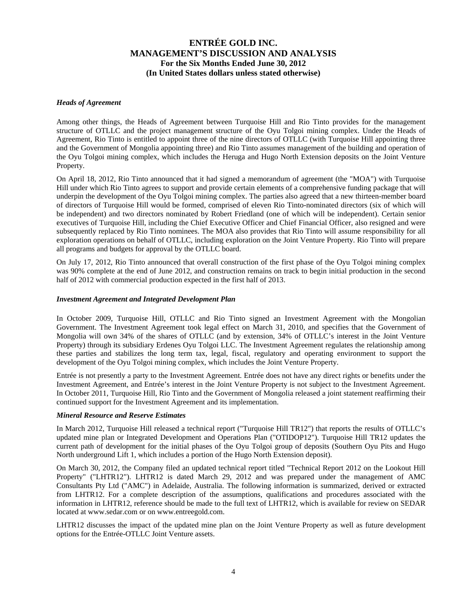### *Heads of Agreement*

Among other things, the Heads of Agreement between Turquoise Hill and Rio Tinto provides for the management structure of OTLLC and the project management structure of the Oyu Tolgoi mining complex. Under the Heads of Agreement, Rio Tinto is entitled to appoint three of the nine directors of OTLLC (with Turquoise Hill appointing three and the Government of Mongolia appointing three) and Rio Tinto assumes management of the building and operation of the Oyu Tolgoi mining complex, which includes the Heruga and Hugo North Extension deposits on the Joint Venture Property.

On April 18, 2012, Rio Tinto announced that it had signed a memorandum of agreement (the "MOA") with Turquoise Hill under which Rio Tinto agrees to support and provide certain elements of a comprehensive funding package that will underpin the development of the Oyu Tolgoi mining complex. The parties also agreed that a new thirteen-member board of directors of Turquoise Hill would be formed, comprised of eleven Rio Tinto-nominated directors (six of which will be independent) and two directors nominated by Robert Friedland (one of which will be independent). Certain senior executives of Turquoise Hill, including the Chief Executive Officer and Chief Financial Officer, also resigned and were subsequently replaced by Rio Tinto nominees. The MOA also provides that Rio Tinto will assume responsibility for all exploration operations on behalf of OTLLC, including exploration on the Joint Venture Property. Rio Tinto will prepare all programs and budgets for approval by the OTLLC board.

On July 17, 2012, Rio Tinto announced that overall construction of the first phase of the Oyu Tolgoi mining complex was 90% complete at the end of June 2012, and construction remains on track to begin initial production in the second half of 2012 with commercial production expected in the first half of 2013.

### *Investment Agreement and Integrated Development Plan*

In October 2009, Turquoise Hill, OTLLC and Rio Tinto signed an Investment Agreement with the Mongolian Government. The Investment Agreement took legal effect on March 31, 2010, and specifies that the Government of Mongolia will own 34% of the shares of OTLLC (and by extension, 34% of OTLLC's interest in the Joint Venture Property) through its subsidiary Erdenes Oyu Tolgoi LLC. The Investment Agreement regulates the relationship among these parties and stabilizes the long term tax, legal, fiscal, regulatory and operating environment to support the development of the Oyu Tolgoi mining complex, which includes the Joint Venture Property.

Entrée is not presently a party to the Investment Agreement. Entrée does not have any direct rights or benefits under the Investment Agreement, and Entrée's interest in the Joint Venture Property is not subject to the Investment Agreement. In October 2011, Turquoise Hill, Rio Tinto and the Government of Mongolia released a joint statement reaffirming their continued support for the Investment Agreement and its implementation.

### *Mineral Resource and Reserve Estimates*

In March 2012, Turquoise Hill released a technical report ("Turquoise Hill TR12") that reports the results of OTLLC's updated mine plan or Integrated Development and Operations Plan ("OTIDOP12"). Turquoise Hill TR12 updates the current path of development for the initial phases of the Oyu Tolgoi group of deposits (Southern Oyu Pits and Hugo North underground Lift 1, which includes a portion of the Hugo North Extension deposit).

On March 30, 2012, the Company filed an updated technical report titled "Technical Report 2012 on the Lookout Hill Property" ("LHTR12"). LHTR12 is dated March 29, 2012 and was prepared under the management of AMC Consultants Pty Ltd ("AMC") in Adelaide, Australia. The following information is summarized, derived or extracted from LHTR12. For a complete description of the assumptions, qualifications and procedures associated with the information in LHTR12, reference should be made to the full text of LHTR12, which is available for review on SEDAR located at www.sedar.com or on www.entreegold.com.

LHTR12 discusses the impact of the updated mine plan on the Joint Venture Property as well as future development options for the Entrée-OTLLC Joint Venture assets.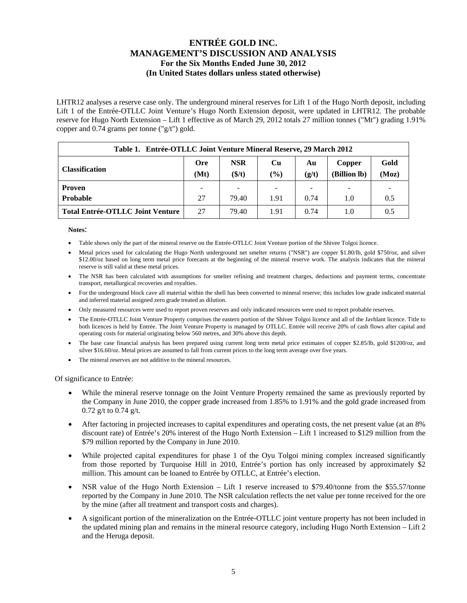LHTR12 analyses a reserve case only. The underground mineral reserves for Lift 1 of the Hugo North deposit, including Lift 1 of the Entrée-OTLLC Joint Venture's Hugo North Extension deposit, were updated in LHTR12. The probable reserve for Hugo North Extension – Lift 1 effective as of March 29, 2012 totals 27 million tonnes ("Mt") grading 1.91% copper and 0.74 grams per tonne ("g/t") gold.

| Table 1. Entrée-OTLLC Joint Venture Mineral Reserve, 29 March 2012 |                    |                          |           |             |                        |               |  |  |  |  |
|--------------------------------------------------------------------|--------------------|--------------------------|-----------|-------------|------------------------|---------------|--|--|--|--|
| <b>Classification</b>                                              | <b>Ore</b><br>(Mt) | <b>NSR</b><br>(\$/t)     | Cu<br>(%) | Au<br>(g/t) | Copper<br>(Billion lb) | Gold<br>(Moz) |  |  |  |  |
| <b>Proven</b>                                                      |                    | $\overline{\phantom{a}}$ |           |             |                        |               |  |  |  |  |
| <b>Probable</b>                                                    | 27                 | 79.40                    | 1.91      | 0.74        | 1.0                    | 0.5           |  |  |  |  |
| <b>Total Entrée-OTLLC Joint Venture</b>                            | 27                 | 79.40                    | 1.91      | 0.74        | 1.0                    | 0.5           |  |  |  |  |

**Notes**:

- Table shows only the part of the mineral reserve on the Entrée-OTLLC Joint Venture portion of the Shivee Tolgoi licence.
- Metal prices used for calculating the Hugo North underground net smelter returns ("NSR") are copper \$1.80/lb, gold \$750/oz, and silver \$12.00/oz based on long term metal price forecasts at the beginning of the mineral reserve work. The analysis indicates that the mineral reserve is still valid at these metal prices.
- The NSR has been calculated with assumptions for smelter refining and treatment charges, deductions and payment terms, concentrate transport, metallurgical recoveries and royalties.
- For the underground block cave all material within the shell has been converted to mineral reserve; this includes low grade indicated material and inferred material assigned zero grade treated as dilution.
- Only measured resources were used to report proven reserves and only indicated resources were used to report probable reserves.
- The Entrée-OTLLC Joint Venture Property comprises the eastern portion of the Shivee Tolgoi licence and all of the Javhlant licence. Title to both licences is held by Entrée. The Joint Venture Property is managed by OTLLC. Entrée will receive 20% of cash flows after capital and operating costs for material originating below 560 metres, and 30% above this depth.
- The base case financial analysis has been prepared using current long term metal price estimates of copper \$2.85/lb, gold \$1200/oz, and silver \$16.60/oz. Metal prices are assumed to fall from current prices to the long term average over five years.
- The mineral reserves are not additive to the mineral resources.

Of significance to Entrée:

- While the mineral reserve tonnage on the Joint Venture Property remained the same as previously reported by the Company in June 2010, the copper grade increased from 1.85% to 1.91% and the gold grade increased from 0.72 g/t to 0.74 g/t.
- After factoring in projected increases to capital expenditures and operating costs, the net present value (at an 8% discount rate) of Entrée's 20% interest of the Hugo North Extension – Lift 1 increased to \$129 million from the \$79 million reported by the Company in June 2010.
- While projected capital expenditures for phase 1 of the Oyu Tolgoi mining complex increased significantly from those reported by Turquoise Hill in 2010, Entrée's portion has only increased by approximately \$2 million. This amount can be loaned to Entrée by OTLLC, at Entrée's election.
- NSR value of the Hugo North Extension Lift 1 reserve increased to \$79.40/tonne from the \$55.57/tonne reported by the Company in June 2010. The NSR calculation reflects the net value per tonne received for the ore by the mine (after all treatment and transport costs and charges).
- A significant portion of the mineralization on the Entrée-OTLLC joint venture property has not been included in the updated mining plan and remains in the mineral resource category, including Hugo North Extension – Lift 2 and the Heruga deposit.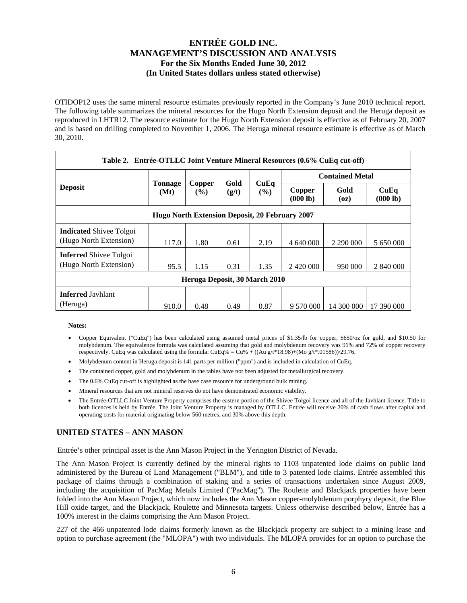OTIDOP12 uses the same mineral resource estimates previously reported in the Company's June 2010 technical report. The following table summarizes the mineral resources for the Hugo North Extension deposit and the Heruga deposit as reproduced in LHTR12. The resource estimate for the Hugo North Extension deposit is effective as of February 20, 2007 and is based on drilling completed to November 1, 2006. The Heruga mineral resource estimate is effective as of March 30, 2010.

| Table 2. Entrée-OTLLC Joint Venture Mineral Resources (0.6% CuEq cut-off) |                        |                         |               |                |                        |              |                  |  |  |  |  |
|---------------------------------------------------------------------------|------------------------|-------------------------|---------------|----------------|------------------------|--------------|------------------|--|--|--|--|
| <b>Deposit</b>                                                            | <b>Tonnage</b><br>(Mt) | Copper<br>$\frac{9}{6}$ | Gold<br>(g/t) | CuEq<br>$($ %) | <b>Contained Metal</b> |              |                  |  |  |  |  |
|                                                                           |                        |                         |               |                | Copper<br>(000 lb)     | Gold<br>(oz) | CuEq<br>(000 lb) |  |  |  |  |
| Hugo North Extension Deposit, 20 February 2007                            |                        |                         |               |                |                        |              |                  |  |  |  |  |
| <b>Indicated</b> Shivee Tolgoi<br>(Hugo North Extension)                  | 117.0                  | 1.80                    | 0.61          | 2.19           | 4 640 000              | 2 290 000    | 5 650 000        |  |  |  |  |
| <b>Inferred</b> Shivee Tolgoi<br>(Hugo North Extension)                   | 95.5                   | 1.15                    | 0.31          | 1.35           |                        | 950 000      | 2 840 000        |  |  |  |  |
| Heruga Deposit, 30 March 2010                                             |                        |                         |               |                |                        |              |                  |  |  |  |  |
| <b>Inferred Jayhlant</b><br>(Heruga)                                      | 910.0                  | 0.48                    | 0.49          | 0.87           | 9 570 000              | 14 300 000   | 17 390 000       |  |  |  |  |

#### **Notes:**

- Copper Equivalent ("CuEq") has been calculated using assumed metal prices of \$1.35/lb for copper, \$650/oz for gold, and \$10.50 for molybdenum. The equivalence formula was calculated assuming that gold and molybdenum recovery was 91% and 72% of copper recovery respectively. CuEq was calculated using the formula: CuEq% = Cu% + ((Au g/t\*18.98)+(Mo g/t\*.01586))/29.76.
- Molybdenum content in Heruga deposit is 141 parts per million ("ppm") and is included in calculation of CuEq.
- The contained copper, gold and molybdenum in the tables have not been adjusted for metallurgical recovery.
- The 0.6% CuEq cut-off is highlighted as the base case resource for underground bulk mining.
- Mineral resources that are not mineral reserves do not have demonstrated economic viability.
- The Entrée-OTLLC Joint Venture Property comprises the eastern portion of the Shivee Tolgoi licence and all of the Javhlant licence. Title to both licences is held by Entrée. The Joint Venture Property is managed by OTLLC. Entrée will receive 20% of cash flows after capital and operating costs for material originating below 560 metres, and 30% above this depth.

## **UNITED STATES – ANN MASON**

Entrée's other principal asset is the Ann Mason Project in the Yerington District of Nevada.

The Ann Mason Project is currently defined by the mineral rights to 1103 unpatented lode claims on public land administered by the Bureau of Land Management ("BLM"), and title to 3 patented lode claims. Entrée assembled this package of claims through a combination of staking and a series of transactions undertaken since August 2009, including the acquisition of PacMag Metals Limited ("PacMag"). The Roulette and Blackjack properties have been folded into the Ann Mason Project, which now includes the Ann Mason copper-molybdenum porphyry deposit, the Blue Hill oxide target, and the Blackjack, Roulette and Minnesota targets. Unless otherwise described below, Entrée has a 100% interest in the claims comprising the Ann Mason Project.

227 of the 466 unpatented lode claims formerly known as the Blackjack property are subject to a mining lease and option to purchase agreement (the "MLOPA") with two individuals. The MLOPA provides for an option to purchase the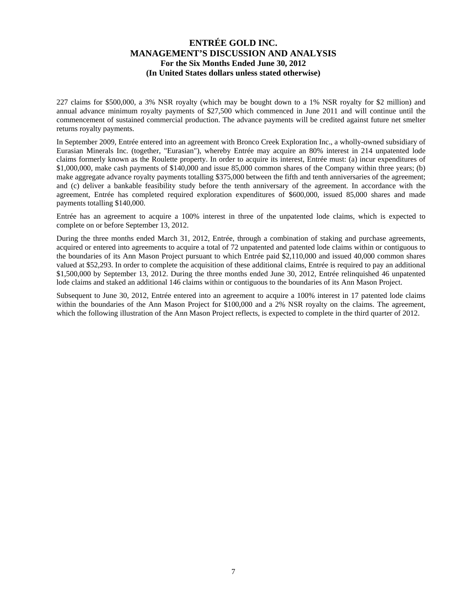227 claims for \$500,000, a 3% NSR royalty (which may be bought down to a 1% NSR royalty for \$2 million) and annual advance minimum royalty payments of \$27,500 which commenced in June 2011 and will continue until the commencement of sustained commercial production. The advance payments will be credited against future net smelter returns royalty payments.

In September 2009, Entrée entered into an agreement with Bronco Creek Exploration Inc., a wholly-owned subsidiary of Eurasian Minerals Inc. (together, "Eurasian"), whereby Entrée may acquire an 80% interest in 214 unpatented lode claims formerly known as the Roulette property. In order to acquire its interest, Entrée must: (a) incur expenditures of \$1,000,000, make cash payments of \$140,000 and issue 85,000 common shares of the Company within three years; (b) make aggregate advance royalty payments totalling \$375,000 between the fifth and tenth anniversaries of the agreement; and (c) deliver a bankable feasibility study before the tenth anniversary of the agreement. In accordance with the agreement, Entrée has completed required exploration expenditures of \$600,000, issued 85,000 shares and made payments totalling \$140,000.

Entrée has an agreement to acquire a 100% interest in three of the unpatented lode claims, which is expected to complete on or before September 13, 2012.

During the three months ended March 31, 2012, Entrée, through a combination of staking and purchase agreements, acquired or entered into agreements to acquire a total of 72 unpatented and patented lode claims within or contiguous to the boundaries of its Ann Mason Project pursuant to which Entrée paid \$2,110,000 and issued 40,000 common shares valued at \$52,293. In order to complete the acquisition of these additional claims, Entrée is required to pay an additional \$1,500,000 by September 13, 2012. During the three months ended June 30, 2012, Entrée relinquished 46 unpatented lode claims and staked an additional 146 claims within or contiguous to the boundaries of its Ann Mason Project.

Subsequent to June 30, 2012, Entrée entered into an agreement to acquire a 100% interest in 17 patented lode claims within the boundaries of the Ann Mason Project for \$100,000 and a 2% NSR royalty on the claims. The agreement, which the following illustration of the Ann Mason Project reflects, is expected to complete in the third quarter of 2012.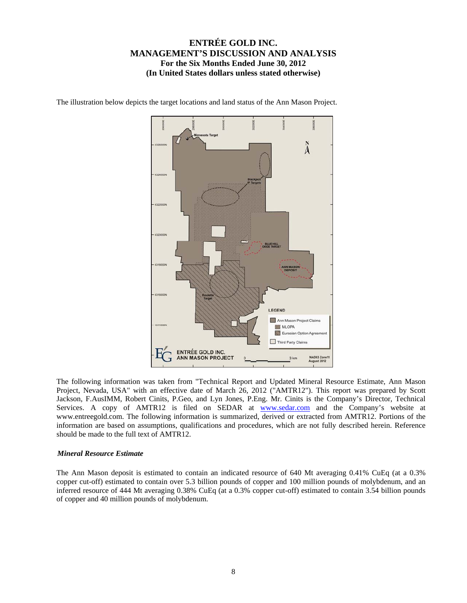

The illustration below depicts the target locations and land status of the Ann Mason Project.

The following information was taken from "Technical Report and Updated Mineral Resource Estimate, Ann Mason Project, Nevada, USA" with an effective date of March 26, 2012 ("AMTR12"). This report was prepared by Scott Jackson, F.AusIMM, Robert Cinits, P.Geo, and Lyn Jones, P.Eng. Mr. Cinits is the Company's Director, Technical Services. A copy of AMTR12 is filed on SEDAR at www.sedar.com and the Company's website at www.entreegold.com. The following information is summarized, derived or extracted from AMTR12. Portions of the information are based on assumptions, qualifications and procedures, which are not fully described herein. Reference should be made to the full text of AMTR12.

### *Mineral Resource Estimate*

The Ann Mason deposit is estimated to contain an indicated resource of 640 Mt averaging 0.41% CuEq (at a 0.3% copper cut-off) estimated to contain over 5.3 billion pounds of copper and 100 million pounds of molybdenum, and an inferred resource of 444 Mt averaging 0.38% CuEq (at a 0.3% copper cut-off) estimated to contain 3.54 billion pounds of copper and 40 million pounds of molybdenum.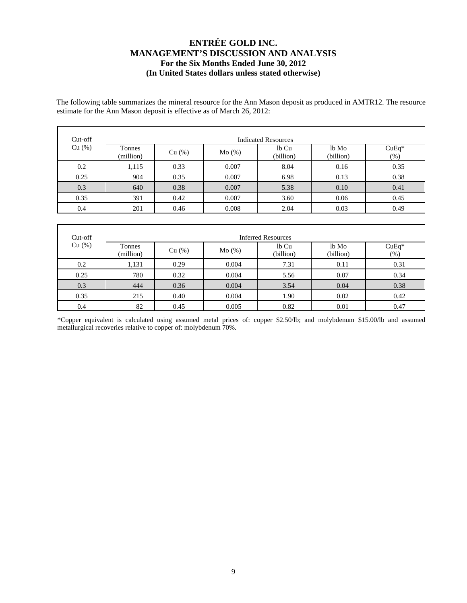The following table summarizes the mineral resource for the Ann Mason deposit as produced in AMTR12. The resource estimate for the Ann Mason deposit is effective as of March 26, 2012:

| Cut-off |                     | <b>Indicated Resources</b> |       |                    |                    |                   |  |  |  |  |  |  |  |  |
|---------|---------------------|----------------------------|-------|--------------------|--------------------|-------------------|--|--|--|--|--|--|--|--|
| Cu (%)  | Tonnes<br>(million) | Cu (%)                     | Mo(%) | lb Cu<br>(billion) | lb Mo<br>(billion) | $CuEq*$<br>$(\%)$ |  |  |  |  |  |  |  |  |
| 0.2     | 1,115               | 0.33                       | 0.007 | 8.04               | 0.16               | 0.35              |  |  |  |  |  |  |  |  |
| 0.25    | 904                 | 0.35                       | 0.007 | 6.98               | 0.13               | 0.38              |  |  |  |  |  |  |  |  |
| 0.3     | 640                 | 0.38                       | 0.007 | 5.38               | 0.10               | 0.41              |  |  |  |  |  |  |  |  |
| 0.35    | 391                 | 0.42                       | 0.007 | 3.60               | 0.06               | 0.45              |  |  |  |  |  |  |  |  |
| 0.4     | 201                 | 0.46                       | 0.008 | 2.04               | 0.03               | 0.49              |  |  |  |  |  |  |  |  |

| Cut-off | <b>Inferred Resources</b> |        |       |                    |                    |                |  |  |  |  |  |  |  |
|---------|---------------------------|--------|-------|--------------------|--------------------|----------------|--|--|--|--|--|--|--|
| Cu (%)  | Tonnes<br>(million)       | Cu (%) | Mo(%) | lb Cu<br>(billion) | lb Mo<br>(billion) | $CuEq*$<br>(%) |  |  |  |  |  |  |  |
| 0.2     | 1,131                     | 0.29   | 0.004 | 7.31               | 0.11               | 0.31           |  |  |  |  |  |  |  |
| 0.25    | 780                       | 0.32   | 0.004 | 5.56               | 0.07               | 0.34           |  |  |  |  |  |  |  |
| 0.3     | 444                       | 0.36   | 0.004 | 3.54               | 0.04               | 0.38           |  |  |  |  |  |  |  |
| 0.35    | 215                       | 0.40   | 0.004 | 1.90               | 0.02               | 0.42           |  |  |  |  |  |  |  |
| 0.4     | 82                        | 0.45   | 0.005 | 0.82               | 0.01               | 0.47           |  |  |  |  |  |  |  |

\*Copper equivalent is calculated using assumed metal prices of: copper \$2.50/lb; and molybdenum \$15.00/lb and assumed metallurgical recoveries relative to copper of: molybdenum 70%.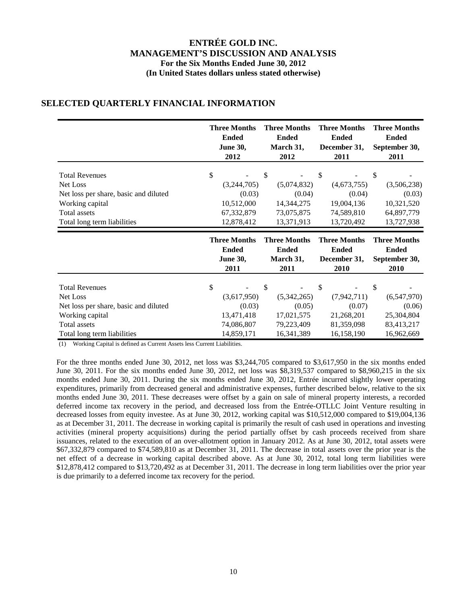|                                       | <b>Three Months</b> | <b>Three Months</b> | <b>Three Months</b> | <b>Three Months</b> |
|---------------------------------------|---------------------|---------------------|---------------------|---------------------|
|                                       | <b>Ended</b>        | <b>Ended</b>        | <b>Ended</b>        | <b>Ended</b>        |
|                                       | <b>June 30,</b>     | March 31,           | December 31,        | September 30,       |
|                                       | 2012                | 2012                | 2011                | 2011                |
| <b>Total Revenues</b>                 | \$                  | \$                  | \$                  | \$                  |
| Net Loss                              | (3,244,705)         | (5,074,832)         | (4,673,755)         | (3,506,238)         |
| Net loss per share, basic and diluted | (0.03)              | (0.04)              | (0.04)              | (0.03)              |
| Working capital                       | 10,512,000          | 14, 344, 275        | 19,004,136          | 10,321,520          |
| Total assets                          | 67,332,879          | 73,075,875          | 74,589,810          | 64,897,779          |
| Total long term liabilities           | 12,878,412          | 13,371,913          | 13,720,492          | 13,727,938          |
|                                       | <b>Three Months</b> | <b>Three Months</b> | <b>Three Months</b> | <b>Three Months</b> |
|                                       | <b>Ended</b>        | <b>Ended</b>        | <b>Ended</b>        | <b>Ended</b>        |
|                                       | <b>June 30,</b>     | March 31,           | December 31,        | September 30,       |
|                                       | 2011                | 2011                | 2010                | 2010                |
| <b>Total Revenues</b>                 | \$                  | \$                  | \$                  | \$                  |
| Net Loss                              | (3,617,950)         | (5,342,265)         | (7,942,711)         | (6,547,970)         |
| Net loss per share, basic and diluted | (0.03)              | (0.05)              | (0.07)              | (0.06)              |

## **SELECTED QUARTERLY FINANCIAL INFORMATION**

(1) Working Capital is defined as Current Assets less Current Liabilities.

For the three months ended June 30, 2012, net loss was \$3,244,705 compared to \$3,617,950 in the six months ended June 30, 2011. For the six months ended June 30, 2012, net loss was \$8,319,537 compared to \$8,960,215 in the six months ended June 30, 2011. During the six months ended June 30, 2012, Entrée incurred slightly lower operating expenditures, primarily from decreased general and administrative expenses, further described below, relative to the six months ended June 30, 2011. These decreases were offset by a gain on sale of mineral property interests, a recorded deferred income tax recovery in the period, and decreased loss from the Entrée-OTLLC Joint Venture resulting in decreased losses from equity investee. As at June 30, 2012, working capital was \$10,512,000 compared to \$19,004,136 as at December 31, 2011. The decrease in working capital is primarily the result of cash used in operations and investing activities (mineral property acquisitions) during the period partially offset by cash proceeds received from share issuances, related to the execution of an over-allotment option in January 2012. As at June 30, 2012, total assets were \$67,332,879 compared to \$74,589,810 as at December 31, 2011. The decrease in total assets over the prior year is the net effect of a decrease in working capital described above. As at June 30, 2012, total long term liabilities were \$12,878,412 compared to \$13,720,492 as at December 31, 2011. The decrease in long term liabilities over the prior year is due primarily to a deferred income tax recovery for the period.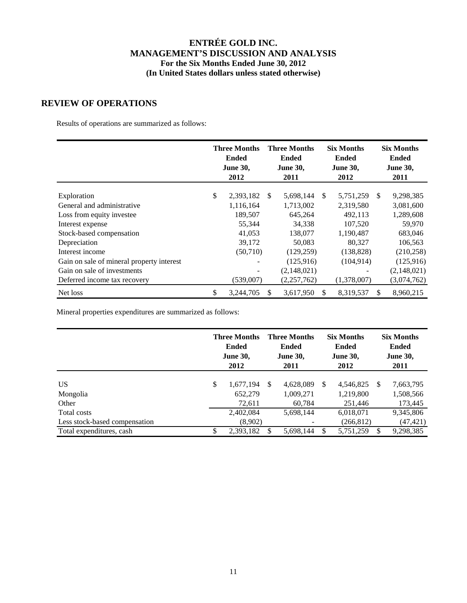## **REVIEW OF OPERATIONS**

Results of operations are summarized as follows:

|                                           | <b>Three Months</b><br><b>Ended</b><br><b>June 30,</b><br>2012 |     | <b>Three Months</b><br><b>Ended</b><br><b>June 30,</b><br>2011 |     | <b>Six Months</b><br><b>Ended</b><br><b>June 30,</b><br>2012 |     | <b>Six Months</b><br><b>Ended</b><br><b>June 30,</b><br>2011 |
|-------------------------------------------|----------------------------------------------------------------|-----|----------------------------------------------------------------|-----|--------------------------------------------------------------|-----|--------------------------------------------------------------|
| Exploration                               | \$<br>2,393,182                                                | \$. | 5,698,144                                                      | \$. | 5,751,259                                                    | \$. | 9,298,385                                                    |
| General and administrative                | 1,116,164                                                      |     | 1,713,002                                                      |     | 2,319,580                                                    |     | 3,081,600                                                    |
| Loss from equity investee                 | 189,507                                                        |     | 645,264                                                        |     | 492,113                                                      |     | 1,289,608                                                    |
| Interest expense                          | 55,344                                                         |     | 34,338                                                         |     | 107,520                                                      |     | 59,970                                                       |
| Stock-based compensation                  | 41,053                                                         |     | 138,077                                                        |     | 1,190,487                                                    |     | 683,046                                                      |
| Depreciation                              | 39,172                                                         |     | 50,083                                                         |     | 80.327                                                       |     | 106,563                                                      |
| Interest income                           | (50, 710)                                                      |     | (129, 259)                                                     |     | (138, 828)                                                   |     | (210, 258)                                                   |
| Gain on sale of mineral property interest |                                                                |     | (125, 916)                                                     |     | (104, 914)                                                   |     | (125, 916)                                                   |
| Gain on sale of investments               |                                                                |     | (2,148,021)                                                    |     |                                                              |     | (2,148,021)                                                  |
| Deferred income tax recovery              | (539,007)                                                      |     | (2, 257, 762)                                                  |     | (1,378,007)                                                  |     | (3,074,762)                                                  |
| Net loss                                  | \$<br>3,244,705                                                |     | 3,617,950                                                      | \$  | 8,319,537                                                    | \$  | 8,960,215                                                    |

Mineral properties expenditures are summarized as follows:

|                                |           | 2011                             |           | <b>June 30,</b><br>2012           |           | <b>June 30,</b><br>2011             |
|--------------------------------|-----------|----------------------------------|-----------|-----------------------------------|-----------|-------------------------------------|
| 1,677,194<br>652,279<br>72,611 | -S        | 4,628,089<br>1,009,271<br>60,784 | \$.       | 4,546,825<br>1,219,800<br>251,446 | -S        | 7,663,795<br>1,508,566<br>173,445   |
| 2,402,084<br>(8,902)           |           | 5,698,144                        |           | 6,018,071<br>(266, 812)           |           | 9,345,806<br>(47, 421)<br>9,298,385 |
|                                | 2,393,182 | 2012                             | 5,698,144 | S                                 | 5,751,259 |                                     |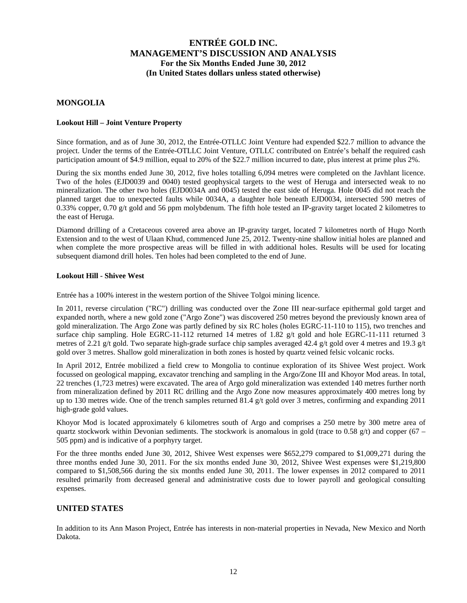## **MONGOLIA**

### **Lookout Hill – Joint Venture Property**

Since formation, and as of June 30, 2012, the Entrée-OTLLC Joint Venture had expended \$22.7 million to advance the project. Under the terms of the Entrée-OTLLC Joint Venture, OTLLC contributed on Entrée's behalf the required cash participation amount of \$4.9 million, equal to 20% of the \$22.7 million incurred to date, plus interest at prime plus 2%.

During the six months ended June 30, 2012, five holes totalling 6,094 metres were completed on the Javhlant licence. Two of the holes (EJD0039 and 0040) tested geophysical targets to the west of Heruga and intersected weak to no mineralization. The other two holes (EJD0034A and 0045) tested the east side of Heruga. Hole 0045 did not reach the planned target due to unexpected faults while 0034A, a daughter hole beneath EJD0034, intersected 590 metres of 0.33% copper, 0.70 g/t gold and 56 ppm molybdenum. The fifth hole tested an IP-gravity target located 2 kilometres to the east of Heruga.

Diamond drilling of a Cretaceous covered area above an IP-gravity target, located 7 kilometres north of Hugo North Extension and to the west of Ulaan Khud, commenced June 25, 2012. Twenty-nine shallow initial holes are planned and when complete the more prospective areas will be filled in with additional holes. Results will be used for locating subsequent diamond drill holes. Ten holes had been completed to the end of June.

### **Lookout Hill - Shivee West**

Entrée has a 100% interest in the western portion of the Shivee Tolgoi mining licence.

In 2011, reverse circulation ("RC") drilling was conducted over the Zone III near-surface epithermal gold target and expanded north, where a new gold zone ("Argo Zone") was discovered 250 metres beyond the previously known area of gold mineralization. The Argo Zone was partly defined by six RC holes (holes EGRC-11-110 to 115), two trenches and surface chip sampling. Hole EGRC-11-112 returned 14 metres of 1.82 g/t gold and hole EGRC-11-111 returned 3 metres of 2.21 g/t gold. Two separate high-grade surface chip samples averaged 42.4 g/t gold over 4 metres and 19.3 g/t gold over 3 metres. Shallow gold mineralization in both zones is hosted by quartz veined felsic volcanic rocks.

In April 2012, Entrée mobilized a field crew to Mongolia to continue exploration of its Shivee West project. Work focussed on geological mapping, excavator trenching and sampling in the Argo/Zone III and Khoyor Mod areas. In total, 22 trenches (1,723 metres) were excavated. The area of Argo gold mineralization was extended 140 metres further north from mineralization defined by 2011 RC drilling and the Argo Zone now measures approximately 400 metres long by up to 130 metres wide. One of the trench samples returned 81.4  $g/t$  gold over 3 metres, confirming and expanding 2011 high-grade gold values.

Khoyor Mod is located approximately 6 kilometres south of Argo and comprises a 250 metre by 300 metre area of quartz stockwork within Devonian sediments. The stockwork is anomalous in gold (trace to 0.58 g/t) and copper  $(67 -$ 505 ppm) and is indicative of a porphyry target.

For the three months ended June 30, 2012, Shivee West expenses were \$652,279 compared to \$1,009,271 during the three months ended June 30, 2011. For the six months ended June 30, 2012, Shivee West expenses were \$1,219,800 compared to \$1,508,566 during the six months ended June 30, 2011. The lower expenses in 2012 compared to 2011 resulted primarily from decreased general and administrative costs due to lower payroll and geological consulting expenses.

## **UNITED STATES**

In addition to its Ann Mason Project, Entrée has interests in non-material properties in Nevada, New Mexico and North Dakota.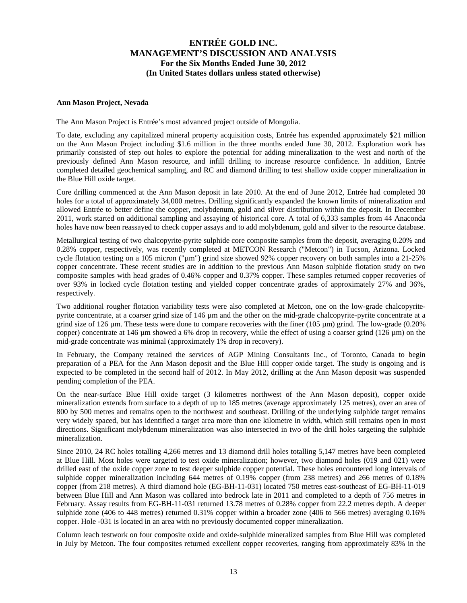### **Ann Mason Project, Nevada**

The Ann Mason Project is Entrée's most advanced project outside of Mongolia.

To date, excluding any capitalized mineral property acquisition costs, Entrée has expended approximately \$21 million on the Ann Mason Project including \$1.6 million in the three months ended June 30, 2012. Exploration work has primarily consisted of step out holes to explore the potential for adding mineralization to the west and north of the previously defined Ann Mason resource, and infill drilling to increase resource confidence. In addition, Entrée completed detailed geochemical sampling, and RC and diamond drilling to test shallow oxide copper mineralization in the Blue Hill oxide target.

Core drilling commenced at the Ann Mason deposit in late 2010. At the end of June 2012, Entrée had completed 30 holes for a total of approximately 34,000 metres. Drilling significantly expanded the known limits of mineralization and allowed Entrée to better define the copper, molybdenum, gold and silver distribution within the deposit. In December 2011, work started on additional sampling and assaying of historical core. A total of 6,333 samples from 44 Anaconda holes have now been reassayed to check copper assays and to add molybdenum, gold and silver to the resource database.

Metallurgical testing of two chalcopyrite-pyrite sulphide core composite samples from the deposit, averaging 0.20% and 0.28% copper, respectively, was recently completed at METCON Research ("Metcon") in Tucson, Arizona. Locked cycle flotation testing on a 105 micron ("µm") grind size showed 92% copper recovery on both samples into a 21-25% copper concentrate. These recent studies are in addition to the previous Ann Mason sulphide flotation study on two composite samples with head grades of 0.46% copper and 0.37% copper. These samples returned copper recoveries of over 93% in locked cycle flotation testing and yielded copper concentrate grades of approximately 27% and 36%, respectively.

Two additional rougher flotation variability tests were also completed at Metcon, one on the low-grade chalcopyritepyrite concentrate, at a coarser grind size of 146 µm and the other on the mid-grade chalcopyrite-pyrite concentrate at a grind size of 126 µm. These tests were done to compare recoveries with the finer (105 µm) grind. The low-grade (0.20% copper) concentrate at 146  $\mu$ m showed a 6% drop in recovery, while the effect of using a coarser grind (126  $\mu$ m) on the mid-grade concentrate was minimal (approximately 1% drop in recovery).

In February, the Company retained the services of AGP Mining Consultants Inc., of Toronto, Canada to begin preparation of a PEA for the Ann Mason deposit and the Blue Hill copper oxide target. The study is ongoing and is expected to be completed in the second half of 2012. In May 2012, drilling at the Ann Mason deposit was suspended pending completion of the PEA.

On the near-surface Blue Hill oxide target (3 kilometres northwest of the Ann Mason deposit), copper oxide mineralization extends from surface to a depth of up to 185 metres (average approximately 125 metres), over an area of 800 by 500 metres and remains open to the northwest and southeast. Drilling of the underlying sulphide target remains very widely spaced, but has identified a target area more than one kilometre in width, which still remains open in most directions. Significant molybdenum mineralization was also intersected in two of the drill holes targeting the sulphide mineralization.

Since 2010, 24 RC holes totalling 4,266 metres and 13 diamond drill holes totalling 5,147 metres have been completed at Blue Hill. Most holes were targeted to test oxide mineralization; however, two diamond holes (019 and 021) were drilled east of the oxide copper zone to test deeper sulphide copper potential. These holes encountered long intervals of sulphide copper mineralization including 644 metres of 0.19% copper (from 238 metres) and 266 metres of 0.18% copper (from 218 metres). A third diamond hole (EG-BH-11-031) located 750 metres east-southeast of EG-BH-11-019 between Blue Hill and Ann Mason was collared into bedrock late in 2011 and completed to a depth of 756 metres in February. Assay results from EG-BH-11-031 returned 13.78 metres of 0.28% copper from 22.2 metres depth. A deeper sulphide zone (406 to 448 metres) returned 0.31% copper within a broader zone (406 to 566 metres) averaging 0.16% copper. Hole -031 is located in an area with no previously documented copper mineralization.

Column leach testwork on four composite oxide and oxide-sulphide mineralized samples from Blue Hill was completed in July by Metcon. The four composites returned excellent copper recoveries, ranging from approximately 83% in the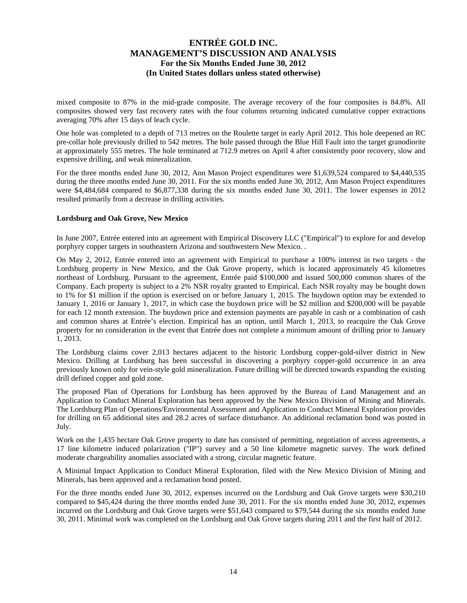mixed composite to 87% in the mid-grade composite. The average recovery of the four composites is 84.8%. All composites showed very fast recovery rates with the four columns returning indicated cumulative copper extractions averaging 70% after 15 days of leach cycle.

One hole was completed to a depth of 713 metres on the Roulette target in early April 2012. This hole deepened an RC pre-collar hole previously drilled to 542 metres. The hole passed through the Blue Hill Fault into the target granodiorite at approximately 555 metres. The hole terminated at 712.9 metres on April 4 after consistently poor recovery, slow and expensive drilling, and weak mineralization.

For the three months ended June 30, 2012, Ann Mason Project expenditures were \$1,639,524 compared to \$4,440,535 during the three months ended June 30, 2011. For the six months ended June 30, 2012, Ann Mason Project expenditures were \$4,484,684 compared to \$6,877,338 during the six months ended June 30, 2011. The lower expenses in 2012 resulted primarily from a decrease in drilling activities.

### **Lordsburg and Oak Grove, New Mexico**

In June 2007, Entrée entered into an agreement with Empirical Discovery LLC ("Empirical") to explore for and develop porphyry copper targets in southeastern Arizona and southwestern New Mexico. .

On May 2, 2012, Entrée entered into an agreement with Empirical to purchase a 100% interest in two targets - the Lordsburg property in New Mexico, and the Oak Grove property, which is located approximately 45 kilometres northeast of Lordsburg. Pursuant to the agreement, Entrée paid \$100,000 and issued 500,000 common shares of the Company. Each property is subject to a 2% NSR royalty granted to Empirical. Each NSR royalty may be bought down to 1% for \$1 million if the option is exercised on or before January 1, 2015. The buydown option may be extended to January 1, 2016 or January 1, 2017, in which case the buydown price will be \$2 million and \$200,000 will be payable for each 12 month extension. The buydown price and extension payments are payable in cash or a combination of cash and common shares at Entrée's election. Empirical has an option, until March 1, 2013, to reacquire the Oak Grove property for no consideration in the event that Entrée does not complete a minimum amount of drilling prior to January 1, 2013.

The Lordsburg claims cover 2,013 hectares adjacent to the historic Lordsburg copper-gold-silver district in New Mexico. Drilling at Lordsburg has been successful in discovering a porphyry copper-gold occurrence in an area previously known only for vein-style gold mineralization. Future drilling will be directed towards expanding the existing drill defined copper and gold zone.

The proposed Plan of Operations for Lordsburg has been approved by the Bureau of Land Management and an Application to Conduct Mineral Exploration has been approved by the New Mexico Division of Mining and Minerals. The Lordsburg Plan of Operations/Environmental Assessment and Application to Conduct Mineral Exploration provides for drilling on 65 additional sites and 28.2 acres of surface disturbance. An additional reclamation bond was posted in July.

Work on the 1,435 hectare Oak Grove property to date has consisted of permitting, negotiation of access agreements, a 17 line kilometre induced polarization ("IP") survey and a 50 line kilometre magnetic survey. The work defined moderate chargeability anomalies associated with a strong, circular magnetic feature.

A Minimal Impact Application to Conduct Mineral Exploration, filed with the New Mexico Division of Mining and Minerals, has been approved and a reclamation bond posted.

For the three months ended June 30, 2012, expenses incurred on the Lordsburg and Oak Grove targets were \$30,210 compared to \$45,424 during the three months ended June 30, 2011. For the six months ended June 30, 2012, expenses incurred on the Lordsburg and Oak Grove targets were \$51,643 compared to \$79,544 during the six months ended June 30, 2011. Minimal work was completed on the Lordsburg and Oak Grove targets during 2011 and the first half of 2012.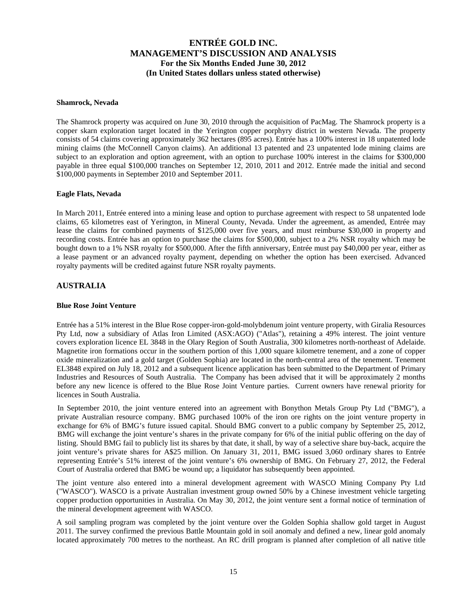### **Shamrock, Nevada**

The Shamrock property was acquired on June 30, 2010 through the acquisition of PacMag. The Shamrock property is a copper skarn exploration target located in the Yerington copper porphyry district in western Nevada. The property consists of 54 claims covering approximately 362 hectares (895 acres). Entrée has a 100% interest in 18 unpatented lode mining claims (the McConnell Canyon claims). An additional 13 patented and 23 unpatented lode mining claims are subject to an exploration and option agreement, with an option to purchase 100% interest in the claims for \$300,000 payable in three equal \$100,000 tranches on September 12, 2010, 2011 and 2012. Entrée made the initial and second \$100,000 payments in September 2010 and September 2011.

#### **Eagle Flats, Nevada**

In March 2011, Entrée entered into a mining lease and option to purchase agreement with respect to 58 unpatented lode claims, 65 kilometres east of Yerington, in Mineral County, Nevada. Under the agreement, as amended, Entrée may lease the claims for combined payments of \$125,000 over five years, and must reimburse \$30,000 in property and recording costs. Entrée has an option to purchase the claims for \$500,000, subject to a 2% NSR royalty which may be bought down to a 1% NSR royalty for \$500,000. After the fifth anniversary, Entrée must pay \$40,000 per year, either as a lease payment or an advanced royalty payment, depending on whether the option has been exercised. Advanced royalty payments will be credited against future NSR royalty payments.

### **AUSTRALIA**

#### **Blue Rose Joint Venture**

Entrée has a 51% interest in the Blue Rose copper-iron-gold-molybdenum joint venture property, with Giralia Resources Pty Ltd, now a subsidiary of Atlas Iron Limited (ASX:AGO) ("Atlas"), retaining a 49% interest. The joint venture covers exploration licence EL 3848 in the Olary Region of South Australia, 300 kilometres north-northeast of Adelaide. Magnetite iron formations occur in the southern portion of this 1,000 square kilometre tenement, and a zone of copper oxide mineralization and a gold target (Golden Sophia) are located in the north-central area of the tenement. Tenement EL3848 expired on July 18, 2012 and a subsequent licence application has been submitted to the Department of Primary Industries and Resources of South Australia. The Company has been advised that it will be approximately 2 months before any new licence is offered to the Blue Rose Joint Venture parties. Current owners have renewal priority for licences in South Australia.

In September 2010, the joint venture entered into an agreement with Bonython Metals Group Pty Ltd ("BMG"), a private Australian resource company. BMG purchased 100% of the iron ore rights on the joint venture property in exchange for 6% of BMG's future issued capital. Should BMG convert to a public company by September 25, 2012, BMG will exchange the joint venture's shares in the private company for 6% of the initial public offering on the day of listing. Should BMG fail to publicly list its shares by that date, it shall, by way of a selective share buy-back, acquire the joint venture's private shares for A\$25 million. On January 31, 2011, BMG issued 3,060 ordinary shares to Entrée representing Entrée's 51% interest of the joint venture's 6% ownership of BMG. On February 27, 2012, the Federal Court of Australia ordered that BMG be wound up; a liquidator has subsequently been appointed.

The joint venture also entered into a mineral development agreement with WASCO Mining Company Pty Ltd ("WASCO"). WASCO is a private Australian investment group owned 50% by a Chinese investment vehicle targeting copper production opportunities in Australia. On May 30, 2012, the joint venture sent a formal notice of termination of the mineral development agreement with WASCO.

A soil sampling program was completed by the joint venture over the Golden Sophia shallow gold target in August 2011. The survey confirmed the previous Battle Mountain gold in soil anomaly and defined a new, linear gold anomaly located approximately 700 metres to the northeast. An RC drill program is planned after completion of all native title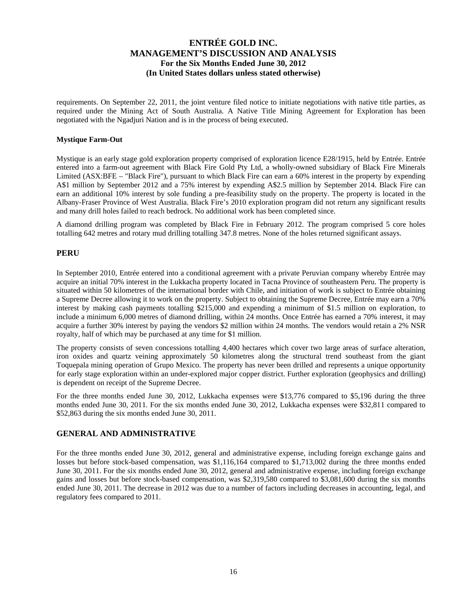requirements. On September 22, 2011, the joint venture filed notice to initiate negotiations with native title parties, as required under the Mining Act of South Australia. A Native Title Mining Agreement for Exploration has been negotiated with the Ngadjuri Nation and is in the process of being executed.

### **Mystique Farm-Out**

Mystique is an early stage gold exploration property comprised of exploration licence E28/1915, held by Entrée. Entrée entered into a farm-out agreement with Black Fire Gold Pty Ltd, a wholly-owned subsidiary of Black Fire Minerals Limited (ASX:BFE – "Black Fire"), pursuant to which Black Fire can earn a 60% interest in the property by expending A\$1 million by September 2012 and a 75% interest by expending A\$2.5 million by September 2014. Black Fire can earn an additional 10% interest by sole funding a pre-feasibility study on the property. The property is located in the Albany-Fraser Province of West Australia. Black Fire's 2010 exploration program did not return any significant results and many drill holes failed to reach bedrock. No additional work has been completed since.

A diamond drilling program was completed by Black Fire in February 2012. The program comprised 5 core holes totalling 642 metres and rotary mud drilling totalling 347.8 metres. None of the holes returned significant assays.

## **PERU**

In September 2010, Entrée entered into a conditional agreement with a private Peruvian company whereby Entrée may acquire an initial 70% interest in the Lukkacha property located in Tacna Province of southeastern Peru. The property is situated within 50 kilometres of the international border with Chile, and initiation of work is subject to Entrée obtaining a Supreme Decree allowing it to work on the property. Subject to obtaining the Supreme Decree, Entrée may earn a 70% interest by making cash payments totalling \$215,000 and expending a minimum of \$1.5 million on exploration, to include a minimum 6,000 metres of diamond drilling, within 24 months. Once Entrée has earned a 70% interest, it may acquire a further 30% interest by paying the vendors \$2 million within 24 months. The vendors would retain a 2% NSR royalty, half of which may be purchased at any time for \$1 million.

The property consists of seven concessions totalling 4,400 hectares which cover two large areas of surface alteration, iron oxides and quartz veining approximately 50 kilometres along the structural trend southeast from the giant Toquepala mining operation of Grupo Mexico. The property has never been drilled and represents a unique opportunity for early stage exploration within an under-explored major copper district. Further exploration (geophysics and drilling) is dependent on receipt of the Supreme Decree.

For the three months ended June 30, 2012, Lukkacha expenses were \$13,776 compared to \$5,196 during the three months ended June 30, 2011. For the six months ended June 30, 2012, Lukkacha expenses were \$32,811 compared to \$52,863 during the six months ended June 30, 2011.

## **GENERAL AND ADMINISTRATIVE**

For the three months ended June 30, 2012, general and administrative expense, including foreign exchange gains and losses but before stock-based compensation, was \$1,116,164 compared to \$1,713,002 during the three months ended June 30, 2011. For the six months ended June 30, 2012, general and administrative expense, including foreign exchange gains and losses but before stock-based compensation, was \$2,319,580 compared to \$3,081,600 during the six months ended June 30, 2011. The decrease in 2012 was due to a number of factors including decreases in accounting, legal, and regulatory fees compared to 2011.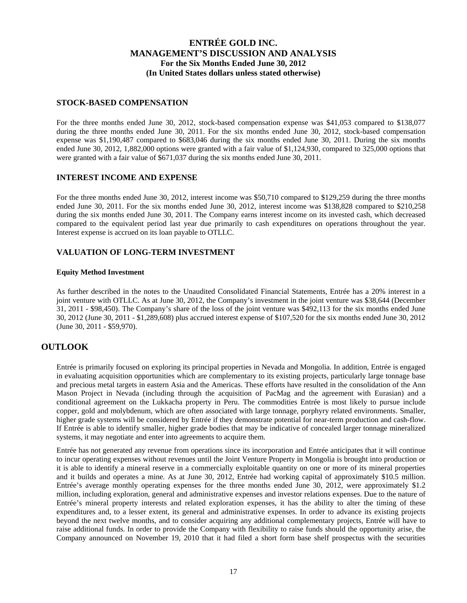## **STOCK-BASED COMPENSATION**

For the three months ended June 30, 2012, stock-based compensation expense was \$41,053 compared to \$138,077 during the three months ended June 30, 2011. For the six months ended June 30, 2012, stock-based compensation expense was \$1,190,487 compared to \$683,046 during the six months ended June 30, 2011. During the six months ended June 30, 2012, 1,882,000 options were granted with a fair value of \$1,124,930, compared to 325,000 options that were granted with a fair value of \$671,037 during the six months ended June 30, 2011.

## **INTEREST INCOME AND EXPENSE**

For the three months ended June 30, 2012, interest income was \$50,710 compared to \$129,259 during the three months ended June 30, 2011. For the six months ended June 30, 2012, interest income was \$138,828 compared to \$210,258 during the six months ended June 30, 2011. The Company earns interest income on its invested cash, which decreased compared to the equivalent period last year due primarily to cash expenditures on operations throughout the year. Interest expense is accrued on its loan payable to OTLLC.

## **VALUATION OF LONG-TERM INVESTMENT**

## **Equity Method Investment**

As further described in the notes to the Unaudited Consolidated Financial Statements, Entrée has a 20% interest in a joint venture with OTLLC. As at June 30, 2012, the Company's investment in the joint venture was \$38,644 (December 31, 2011 - \$98,450). The Company's share of the loss of the joint venture was \$492,113 for the six months ended June 30, 2012 (June 30, 2011 - \$1,289,608) plus accrued interest expense of \$107,520 for the six months ended June 30, 2012 (June 30, 2011 - \$59,970).

# **OUTLOOK**

Entrée is primarily focused on exploring its principal properties in Nevada and Mongolia. In addition, Entrée is engaged in evaluating acquisition opportunities which are complementary to its existing projects, particularly large tonnage base and precious metal targets in eastern Asia and the Americas. These efforts have resulted in the consolidation of the Ann Mason Project in Nevada (including through the acquisition of PacMag and the agreement with Eurasian) and a conditional agreement on the Lukkacha property in Peru. The commodities Entrée is most likely to pursue include copper, gold and molybdenum, which are often associated with large tonnage, porphyry related environments. Smaller, higher grade systems will be considered by Entrée if they demonstrate potential for near-term production and cash-flow. If Entrée is able to identify smaller, higher grade bodies that may be indicative of concealed larger tonnage mineralized systems, it may negotiate and enter into agreements to acquire them.

Entrée has not generated any revenue from operations since its incorporation and Entrée anticipates that it will continue to incur operating expenses without revenues until the Joint Venture Property in Mongolia is brought into production or it is able to identify a mineral reserve in a commercially exploitable quantity on one or more of its mineral properties and it builds and operates a mine. As at June 30, 2012, Entrée had working capital of approximately \$10.5 million. Entrée's average monthly operating expenses for the three months ended June 30, 2012, were approximately \$1.2 million, including exploration, general and administrative expenses and investor relations expenses. Due to the nature of Entrée's mineral property interests and related exploration expenses, it has the ability to alter the timing of these expenditures and, to a lesser extent, its general and administrative expenses. In order to advance its existing projects beyond the next twelve months, and to consider acquiring any additional complementary projects, Entrée will have to raise additional funds. In order to provide the Company with flexibility to raise funds should the opportunity arise, the Company announced on November 19, 2010 that it had filed a short form base shelf prospectus with the securities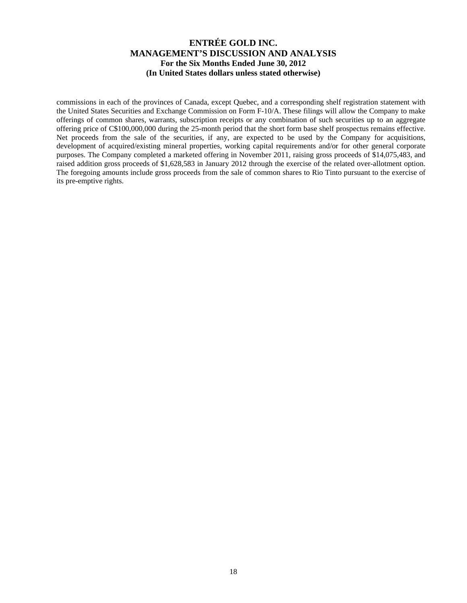commissions in each of the provinces of Canada, except Quebec, and a corresponding shelf registration statement with the United States Securities and Exchange Commission on Form F-10/A. These filings will allow the Company to make offerings of common shares, warrants, subscription receipts or any combination of such securities up to an aggregate offering price of C\$100,000,000 during the 25-month period that the short form base shelf prospectus remains effective. Net proceeds from the sale of the securities, if any, are expected to be used by the Company for acquisitions, development of acquired/existing mineral properties, working capital requirements and/or for other general corporate purposes. The Company completed a marketed offering in November 2011, raising gross proceeds of \$14,075,483, and raised addition gross proceeds of \$1,628,583 in January 2012 through the exercise of the related over-allotment option. The foregoing amounts include gross proceeds from the sale of common shares to Rio Tinto pursuant to the exercise of its pre-emptive rights.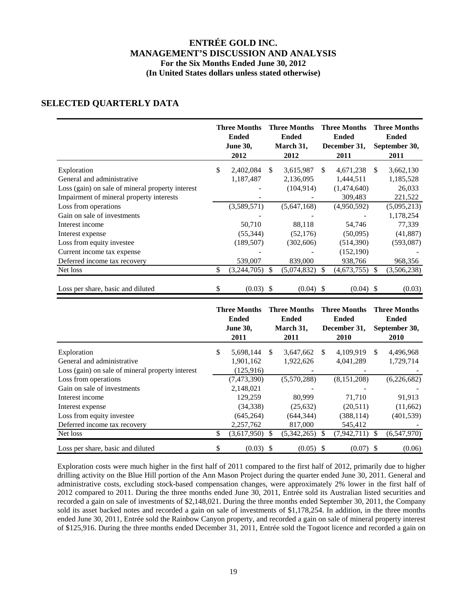# **SELECTED QUARTERLY DATA**

|                                                  | <b>Three Months</b><br><b>Ended</b><br><b>June 30,</b><br>2012 |    | <b>Three Months</b><br><b>Ended</b><br>March 31,<br>2012 |               | <b>Three Months</b><br><b>Ended</b><br>December 31,<br>2011 |               | <b>Three Months</b><br><b>Ended</b><br>September 30,<br>2011 |
|--------------------------------------------------|----------------------------------------------------------------|----|----------------------------------------------------------|---------------|-------------------------------------------------------------|---------------|--------------------------------------------------------------|
| Exploration                                      | \$<br>2,402,084                                                | -S | 3,615,987                                                | <sup>\$</sup> | 4,671,238                                                   | <sup>\$</sup> | 3,662,130                                                    |
| General and administrative                       | 1,187,487                                                      |    | 2,136,095                                                |               | 1,444,511                                                   |               | 1,185,528                                                    |
| Loss (gain) on sale of mineral property interest |                                                                |    | (104, 914)                                               |               | (1,474,640)                                                 |               | 26,033                                                       |
| Impairment of mineral property interests         |                                                                |    |                                                          |               | 309,483                                                     |               | 221,522                                                      |
| Loss from operations                             | (3,589,571)                                                    |    | (5,647,168)                                              |               | (4,950,592)                                                 |               | (5,095,213)                                                  |
| Gain on sale of investments                      |                                                                |    |                                                          |               |                                                             |               | 1,178,254                                                    |
| Interest income                                  | 50,710                                                         |    | 88,118                                                   |               | 54,746                                                      |               | 77,339                                                       |
| Interest expense                                 | (55, 344)                                                      |    | (52, 176)                                                |               | (50,095)                                                    |               | (41, 887)                                                    |
| Loss from equity investee                        | (189, 507)                                                     |    | (302,606)                                                |               | (514, 390)                                                  |               | (593,087)                                                    |
| Current income tax expense                       |                                                                |    |                                                          |               | (152, 190)                                                  |               |                                                              |
| Deferred income tax recovery                     | 539,007                                                        |    | 839,000                                                  |               | 938,766                                                     |               | 968,356                                                      |
| Net loss                                         | \$<br>(3,244,705)                                              |    | (5,074,832)                                              | \$.           | (4,673,755)                                                 | S             | (3,506,238)                                                  |
| Loss per share, basic and diluted                | \$<br>$(0.03)$ \$                                              |    | (0.04)                                                   | -S            | (0.04)                                                      | -S            | (0.03)                                                       |

|                                                  | <b>Three Months</b><br><b>Ended</b><br><b>June 30,</b><br>2011 |      | <b>Three Months</b><br><b>Ended</b><br>March 31,<br>2011 |               | <b>Three Months</b><br><b>Ended</b><br>December 31,<br>2010 |     | <b>Three Months</b><br>Ended<br>September 30,<br>2010 |
|--------------------------------------------------|----------------------------------------------------------------|------|----------------------------------------------------------|---------------|-------------------------------------------------------------|-----|-------------------------------------------------------|
| Exploration                                      | \$<br>5,698,144                                                | -S   | 3,647,662                                                | <sup>\$</sup> | 4,109,919                                                   | \$. | 4,496,968                                             |
| General and administrative                       | 1,901,162                                                      |      | 1,922,626                                                |               | 4,041,289                                                   |     | 1,729,714                                             |
| Loss (gain) on sale of mineral property interest | (125, 916)                                                     |      |                                                          |               |                                                             |     |                                                       |
| Loss from operations                             | (7, 473, 390)                                                  |      | (5,570,288)                                              |               | (8,151,208)                                                 |     | (6,226,682)                                           |
| Gain on sale of investments                      | 2,148,021                                                      |      |                                                          |               |                                                             |     |                                                       |
| Interest income                                  | 129,259                                                        |      | 80,999                                                   |               | 71.710                                                      |     | 91,913                                                |
| Interest expense                                 | (34, 338)                                                      |      | (25,632)                                                 |               | (20,511)                                                    |     | (11,662)                                              |
| Loss from equity investee                        | (645, 264)                                                     |      | (644, 344)                                               |               | (388, 114)                                                  |     | (401, 539)                                            |
| Deferred income tax recovery                     | 2,257,762                                                      |      | 817,000                                                  |               | 545,412                                                     |     |                                                       |
| Net loss                                         | \$<br>(3,617,950)                                              |      | (5,342,265)                                              | \$.           | (7,942,711)                                                 | -S  | (6,547,970)                                           |
| Loss per share, basic and diluted                | \$<br>(0.03)                                                   | - \$ | $(0.05)$ \$                                              |               | $(0.07)$ \$                                                 |     | (0.06)                                                |

Exploration costs were much higher in the first half of 2011 compared to the first half of 2012, primarily due to higher drilling activity on the Blue Hill portion of the Ann Mason Project during the quarter ended June 30, 2011. General and administrative costs, excluding stock-based compensation changes, were approximately 2% lower in the first half of 2012 compared to 2011. During the three months ended June 30, 2011, Entrée sold its Australian listed securities and recorded a gain on sale of investments of \$2,148,021. During the three months ended September 30, 2011, the Company sold its asset backed notes and recorded a gain on sale of investments of \$1,178,254. In addition, in the three months ended June 30, 2011, Entrée sold the Rainbow Canyon property, and recorded a gain on sale of mineral property interest of \$125,916. During the three months ended December 31, 2011, Entrée sold the Togoot licence and recorded a gain on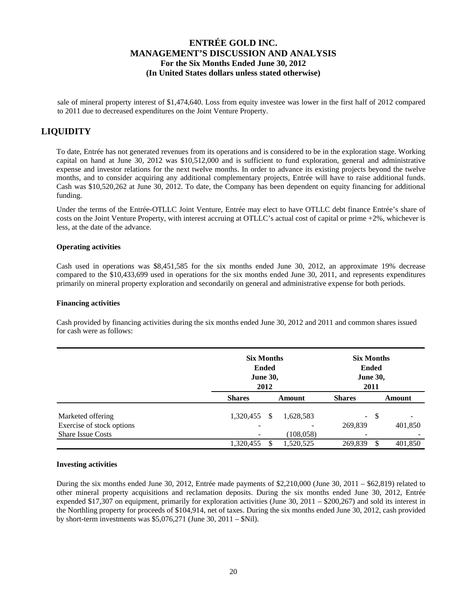sale of mineral property interest of \$1,474,640. Loss from equity investee was lower in the first half of 2012 compared to 2011 due to decreased expenditures on the Joint Venture Property.

# **LIQUIDITY**

To date, Entrée has not generated revenues from its operations and is considered to be in the exploration stage. Working capital on hand at June 30, 2012 was \$10,512,000 and is sufficient to fund exploration, general and administrative expense and investor relations for the next twelve months. In order to advance its existing projects beyond the twelve months, and to consider acquiring any additional complementary projects, Entrée will have to raise additional funds. Cash was \$10,520,262 at June 30, 2012. To date, the Company has been dependent on equity financing for additional funding.

Under the terms of the Entrée-OTLLC Joint Venture, Entrée may elect to have OTLLC debt finance Entrée's share of costs on the Joint Venture Property, with interest accruing at OTLLC's actual cost of capital or prime +2%, whichever is less, at the date of the advance.

## **Operating activities**

Cash used in operations was \$8,451,585 for the six months ended June 30, 2012, an approximate 19% decrease compared to the \$10,433,699 used in operations for the six months ended June 30, 2011, and represents expenditures primarily on mineral property exploration and secondarily on general and administrative expense for both periods.

### **Financing activities**

Cash provided by financing activities during the six months ended June 30, 2012 and 2011 and common shares issued for cash were as follows:

|                           | <b>Six Months</b><br><b>Ended</b><br><b>June 30,</b><br>2012 |                 | <b>Six Months</b><br><b>Ended</b><br><b>June 30,</b><br>2011 |    |         |
|---------------------------|--------------------------------------------------------------|-----------------|--------------------------------------------------------------|----|---------|
|                           | <b>Shares</b>                                                | Amount          | <b>Shares</b>                                                |    | Amount  |
| Marketed offering         | 1,320,455                                                    | \$<br>1,628,583 | $\omega$ .                                                   | -S |         |
| Exercise of stock options |                                                              |                 | 269,839                                                      |    | 401,850 |
| <b>Share Issue Costs</b>  |                                                              | (108, 058)      | $\qquad \qquad \blacksquare$                                 |    |         |
|                           | 1,320,455                                                    | 1,520,525       | 269,839                                                      | £. | 401,850 |

## **Investing activities**

During the six months ended June 30, 2012, Entrée made payments of \$2,210,000 (June 30, 2011 – \$62,819) related to other mineral property acquisitions and reclamation deposits. During the six months ended June 30, 2012, Entrée expended \$17,307 on equipment, primarily for exploration activities (June 30,  $2011 - $200,267$ ) and sold its interest in the Northling property for proceeds of \$104,914, net of taxes. During the six months ended June 30, 2012, cash provided by short-term investments was \$5,076,271 (June 30, 2011 – \$Nil).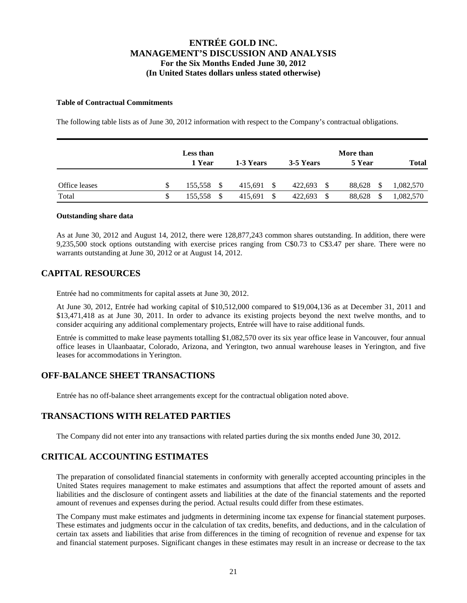### **Table of Contractual Commitments**

The following table lists as of June 30, 2012 information with respect to the Company's contractual obligations.

|               | Less than |              |           | More than |              |
|---------------|-----------|--------------|-----------|-----------|--------------|
|               | 1 Year    | 1-3 Years    | 3-5 Years | 5 Year    | <b>Total</b> |
| Office leases | 155,558   | S<br>415.691 | 422.693   | 88.628    | 1,082,570    |
| Total         | 155,558   | 415.691      | 422,693   | 88.628    | 1,082,570    |

### **Outstanding share data**

As at June 30, 2012 and August 14, 2012, there were 128,877,243 common shares outstanding. In addition, there were 9,235,500 stock options outstanding with exercise prices ranging from C\$0.73 to C\$3.47 per share. There were no warrants outstanding at June 30, 2012 or at August 14, 2012.

## **CAPITAL RESOURCES**

Entrée had no commitments for capital assets at June 30, 2012.

At June 30, 2012, Entrée had working capital of \$10,512,000 compared to \$19,004,136 as at December 31, 2011 and \$13,471,418 as at June 30, 2011. In order to advance its existing projects beyond the next twelve months, and to consider acquiring any additional complementary projects, Entrée will have to raise additional funds.

Entrée is committed to make lease payments totalling \$1,082,570 over its six year office lease in Vancouver, four annual office leases in Ulaanbaatar, Colorado, Arizona, and Yerington, two annual warehouse leases in Yerington, and five leases for accommodations in Yerington.

# **OFF-BALANCE SHEET TRANSACTIONS**

Entrée has no off-balance sheet arrangements except for the contractual obligation noted above.

# **TRANSACTIONS WITH RELATED PARTIES**

The Company did not enter into any transactions with related parties during the six months ended June 30, 2012.

# **CRITICAL ACCOUNTING ESTIMATES**

The preparation of consolidated financial statements in conformity with generally accepted accounting principles in the United States requires management to make estimates and assumptions that affect the reported amount of assets and liabilities and the disclosure of contingent assets and liabilities at the date of the financial statements and the reported amount of revenues and expenses during the period. Actual results could differ from these estimates.

The Company must make estimates and judgments in determining income tax expense for financial statement purposes. These estimates and judgments occur in the calculation of tax credits, benefits, and deductions, and in the calculation of certain tax assets and liabilities that arise from differences in the timing of recognition of revenue and expense for tax and financial statement purposes. Significant changes in these estimates may result in an increase or decrease to the tax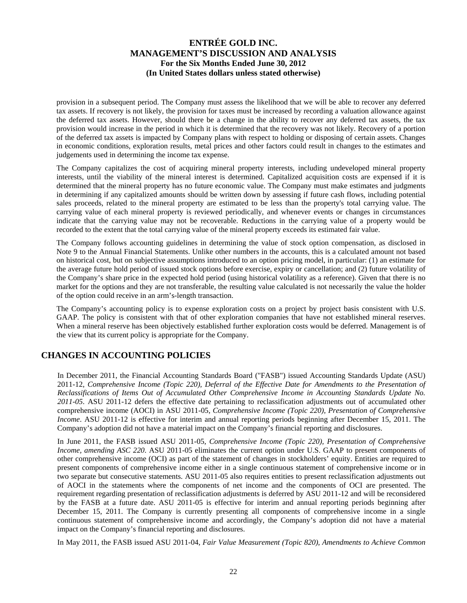provision in a subsequent period. The Company must assess the likelihood that we will be able to recover any deferred tax assets. If recovery is not likely, the provision for taxes must be increased by recording a valuation allowance against the deferred tax assets. However, should there be a change in the ability to recover any deferred tax assets, the tax provision would increase in the period in which it is determined that the recovery was not likely. Recovery of a portion of the deferred tax assets is impacted by Company plans with respect to holding or disposing of certain assets. Changes in economic conditions, exploration results, metal prices and other factors could result in changes to the estimates and judgements used in determining the income tax expense.

The Company capitalizes the cost of acquiring mineral property interests, including undeveloped mineral property interests, until the viability of the mineral interest is determined. Capitalized acquisition costs are expensed if it is determined that the mineral property has no future economic value. The Company must make estimates and judgments in determining if any capitalized amounts should be written down by assessing if future cash flows, including potential sales proceeds, related to the mineral property are estimated to be less than the property's total carrying value. The carrying value of each mineral property is reviewed periodically, and whenever events or changes in circumstances indicate that the carrying value may not be recoverable. Reductions in the carrying value of a property would be recorded to the extent that the total carrying value of the mineral property exceeds its estimated fair value.

The Company follows accounting guidelines in determining the value of stock option compensation, as disclosed in Note 9 to the Annual Financial Statements. Unlike other numbers in the accounts, this is a calculated amount not based on historical cost, but on subjective assumptions introduced to an option pricing model, in particular: (1) an estimate for the average future hold period of issued stock options before exercise, expiry or cancellation; and (2) future volatility of the Company's share price in the expected hold period (using historical volatility as a reference). Given that there is no market for the options and they are not transferable, the resulting value calculated is not necessarily the value the holder of the option could receive in an arm's-length transaction.

The Company's accounting policy is to expense exploration costs on a project by project basis consistent with U.S. GAAP. The policy is consistent with that of other exploration companies that have not established mineral reserves. When a mineral reserve has been objectively established further exploration costs would be deferred. Management is of the view that its current policy is appropriate for the Company.

# **CHANGES IN ACCOUNTING POLICIES**

In December 2011, the Financial Accounting Standards Board ("FASB") issued Accounting Standards Update (ASU) 2011-12, *Comprehensive Income (Topic 220), Deferral of the Effective Date for Amendments to the Presentation of Reclassifications of Items Out of Accumulated Other Comprehensive Income in Accounting Standards Update No. 2011-05*. ASU 2011-12 defers the effective date pertaining to reclassification adjustments out of accumulated other comprehensive income (AOCI) in ASU 2011-05, *Comprehensive Income (Topic 220), Presentation of Comprehensive Income*. ASU 2011-12 is effective for interim and annual reporting periods beginning after December 15, 2011. The Company's adoption did not have a material impact on the Company's financial reporting and disclosures.

In June 2011, the FASB issued ASU 2011-05, *Comprehensive Income (Topic 220), Presentation of Comprehensive Income, amending ASC 220.* ASU 2011-05 eliminates the current option under U.S. GAAP to present components of other comprehensive income (OCI) as part of the statement of changes in stockholders' equity. Entities are required to present components of comprehensive income either in a single continuous statement of comprehensive income or in two separate but consecutive statements. ASU 2011-05 also requires entities to present reclassification adjustments out of AOCI in the statements where the components of net income and the components of OCI are presented. The requirement regarding presentation of reclassification adjustments is deferred by ASU 2011-12 and will be reconsidered by the FASB at a future date. ASU 2011-05 is effective for interim and annual reporting periods beginning after December 15, 2011. The Company is currently presenting all components of comprehensive income in a single continuous statement of comprehensive income and accordingly, the Company's adoption did not have a material impact on the Company's financial reporting and disclosures.

In May 2011, the FASB issued ASU 2011-04, *Fair Value Measurement (Topic 820), Amendments to Achieve Common*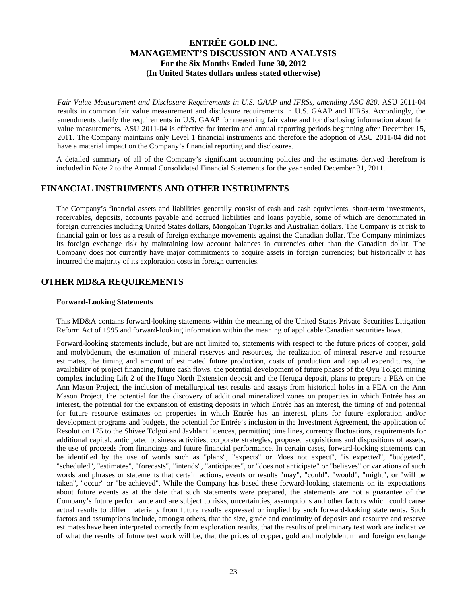*Fair Value Measurement and Disclosure Requirements in U.S. GAAP and IFRSs, amending ASC 820*. ASU 2011-04 results in common fair value measurement and disclosure requirements in U.S. GAAP and IFRSs. Accordingly, the amendments clarify the requirements in U.S. GAAP for measuring fair value and for disclosing information about fair value measurements. ASU 2011-04 is effective for interim and annual reporting periods beginning after December 15, 2011. The Company maintains only Level 1 financial instruments and therefore the adoption of ASU 2011-04 did not have a material impact on the Company's financial reporting and disclosures.

A detailed summary of all of the Company's significant accounting policies and the estimates derived therefrom is included in Note 2 to the Annual Consolidated Financial Statements for the year ended December 31, 2011.

# **FINANCIAL INSTRUMENTS AND OTHER INSTRUMENTS**

The Company's financial assets and liabilities generally consist of cash and cash equivalents, short-term investments, receivables, deposits, accounts payable and accrued liabilities and loans payable, some of which are denominated in foreign currencies including United States dollars, Mongolian Tugriks and Australian dollars. The Company is at risk to financial gain or loss as a result of foreign exchange movements against the Canadian dollar. The Company minimizes its foreign exchange risk by maintaining low account balances in currencies other than the Canadian dollar. The Company does not currently have major commitments to acquire assets in foreign currencies; but historically it has incurred the majority of its exploration costs in foreign currencies.

# **OTHER MD&A REQUIREMENTS**

## **Forward-Looking Statements**

This MD&A contains forward-looking statements within the meaning of the United States Private Securities Litigation Reform Act of 1995 and forward-looking information within the meaning of applicable Canadian securities laws.

Forward-looking statements include, but are not limited to, statements with respect to the future prices of copper, gold and molybdenum, the estimation of mineral reserves and resources, the realization of mineral reserve and resource estimates, the timing and amount of estimated future production, costs of production and capital expenditures, the availability of project financing, future cash flows, the potential development of future phases of the Oyu Tolgoi mining complex including Lift 2 of the Hugo North Extension deposit and the Heruga deposit, plans to prepare a PEA on the Ann Mason Project, the inclusion of metallurgical test results and assays from historical holes in a PEA on the Ann Mason Project, the potential for the discovery of additional mineralized zones on properties in which Entrée has an interest, the potential for the expansion of existing deposits in which Entrée has an interest, the timing of and potential for future resource estimates on properties in which Entrée has an interest, plans for future exploration and/or development programs and budgets, the potential for Entrée's inclusion in the Investment Agreement, the application of Resolution 175 to the Shivee Tolgoi and Javhlant licences, permitting time lines, currency fluctuations, requirements for additional capital, anticipated business activities, corporate strategies, proposed acquisitions and dispositions of assets, the use of proceeds from financings and future financial performance. In certain cases, forward-looking statements can be identified by the use of words such as "plans", "expects" or "does not expect", "is expected", "budgeted", "scheduled", "estimates", "forecasts", "intends", "anticipates", or "does not anticipate" or "believes" or variations of such words and phrases or statements that certain actions, events or results "may", "could", "would", "might", or "will be taken", "occur" or "be achieved". While the Company has based these forward-looking statements on its expectations about future events as at the date that such statements were prepared, the statements are not a guarantee of the Company's future performance and are subject to risks, uncertainties, assumptions and other factors which could cause actual results to differ materially from future results expressed or implied by such forward-looking statements. Such factors and assumptions include, amongst others, that the size, grade and continuity of deposits and resource and reserve estimates have been interpreted correctly from exploration results, that the results of preliminary test work are indicative of what the results of future test work will be, that the prices of copper, gold and molybdenum and foreign exchange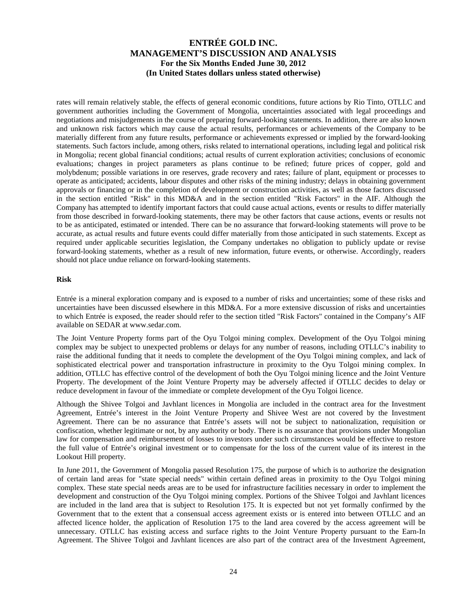rates will remain relatively stable, the effects of general economic conditions, future actions by Rio Tinto, OTLLC and government authorities including the Government of Mongolia, uncertainties associated with legal proceedings and negotiations and misjudgements in the course of preparing forward-looking statements. In addition, there are also known and unknown risk factors which may cause the actual results, performances or achievements of the Company to be materially different from any future results, performance or achievements expressed or implied by the forward-looking statements. Such factors include, among others, risks related to international operations, including legal and political risk in Mongolia; recent global financial conditions; actual results of current exploration activities; conclusions of economic evaluations; changes in project parameters as plans continue to be refined; future prices of copper, gold and molybdenum; possible variations in ore reserves, grade recovery and rates; failure of plant, equipment or processes to operate as anticipated; accidents, labour disputes and other risks of the mining industry; delays in obtaining government approvals or financing or in the completion of development or construction activities, as well as those factors discussed in the section entitled "Risk" in this MD&A and in the section entitled "Risk Factors" in the AIF. Although the Company has attempted to identify important factors that could cause actual actions, events or results to differ materially from those described in forward-looking statements, there may be other factors that cause actions, events or results not to be as anticipated, estimated or intended. There can be no assurance that forward-looking statements will prove to be accurate, as actual results and future events could differ materially from those anticipated in such statements. Except as required under applicable securities legislation, the Company undertakes no obligation to publicly update or revise forward-looking statements, whether as a result of new information, future events, or otherwise. Accordingly, readers should not place undue reliance on forward-looking statements.

### **Risk**

Entrée is a mineral exploration company and is exposed to a number of risks and uncertainties; some of these risks and uncertainties have been discussed elsewhere in this MD&A. For a more extensive discussion of risks and uncertainties to which Entrée is exposed, the reader should refer to the section titled "Risk Factors" contained in the Company's AIF available on SEDAR at www.sedar.com.

The Joint Venture Property forms part of the Oyu Tolgoi mining complex. Development of the Oyu Tolgoi mining complex may be subject to unexpected problems or delays for any number of reasons, including OTLLC's inability to raise the additional funding that it needs to complete the development of the Oyu Tolgoi mining complex, and lack of sophisticated electrical power and transportation infrastructure in proximity to the Oyu Tolgoi mining complex. In addition, OTLLC has effective control of the development of both the Oyu Tolgoi mining licence and the Joint Venture Property. The development of the Joint Venture Property may be adversely affected if OTLLC decides to delay or reduce development in favour of the immediate or complete development of the Oyu Tolgoi licence.

Although the Shivee Tolgoi and Javhlant licences in Mongolia are included in the contract area for the Investment Agreement, Entrée's interest in the Joint Venture Property and Shivee West are not covered by the Investment Agreement. There can be no assurance that Entrée's assets will not be subject to nationalization, requisition or confiscation, whether legitimate or not, by any authority or body. There is no assurance that provisions under Mongolian law for compensation and reimbursement of losses to investors under such circumstances would be effective to restore the full value of Entrée's original investment or to compensate for the loss of the current value of its interest in the Lookout Hill property.

In June 2011, the Government of Mongolia passed Resolution 175, the purpose of which is to authorize the designation of certain land areas for "state special needs" within certain defined areas in proximity to the Oyu Tolgoi mining complex. These state special needs areas are to be used for infrastructure facilities necessary in order to implement the development and construction of the Oyu Tolgoi mining complex. Portions of the Shivee Tolgoi and Javhlant licences are included in the land area that is subject to Resolution 175. It is expected but not yet formally confirmed by the Government that to the extent that a consensual access agreement exists or is entered into between OTLLC and an affected licence holder, the application of Resolution 175 to the land area covered by the access agreement will be unnecessary. OTLLC has existing access and surface rights to the Joint Venture Property pursuant to the Earn-In Agreement. The Shivee Tolgoi and Javhlant licences are also part of the contract area of the Investment Agreement,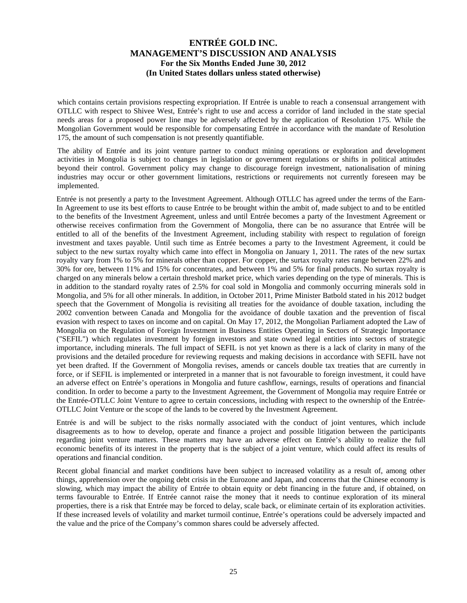which contains certain provisions respecting expropriation. If Entrée is unable to reach a consensual arrangement with OTLLC with respect to Shivee West, Entrée's right to use and access a corridor of land included in the state special needs areas for a proposed power line may be adversely affected by the application of Resolution 175. While the Mongolian Government would be responsible for compensating Entrée in accordance with the mandate of Resolution 175, the amount of such compensation is not presently quantifiable.

The ability of Entrée and its joint venture partner to conduct mining operations or exploration and development activities in Mongolia is subject to changes in legislation or government regulations or shifts in political attitudes beyond their control. Government policy may change to discourage foreign investment, nationalisation of mining industries may occur or other government limitations, restrictions or requirements not currently foreseen may be implemented.

Entrée is not presently a party to the Investment Agreement. Although OTLLC has agreed under the terms of the Earn-In Agreement to use its best efforts to cause Entrée to be brought within the ambit of, made subject to and to be entitled to the benefits of the Investment Agreement, unless and until Entrée becomes a party of the Investment Agreement or otherwise receives confirmation from the Government of Mongolia, there can be no assurance that Entrée will be entitled to all of the benefits of the Investment Agreement, including stability with respect to regulation of foreign investment and taxes payable. Until such time as Entrée becomes a party to the Investment Agreement, it could be subject to the new surtax royalty which came into effect in Mongolia on January 1, 2011. The rates of the new surtax royalty vary from 1% to 5% for minerals other than copper. For copper, the surtax royalty rates range between 22% and 30% for ore, between 11% and 15% for concentrates, and between 1% and 5% for final products. No surtax royalty is charged on any minerals below a certain threshold market price, which varies depending on the type of minerals. This is in addition to the standard royalty rates of 2.5% for coal sold in Mongolia and commonly occurring minerals sold in Mongolia, and 5% for all other minerals. In addition, in October 2011, Prime Minister Batbold stated in his 2012 budget speech that the Government of Mongolia is revisiting all treaties for the avoidance of double taxation, including the 2002 convention between Canada and Mongolia for the avoidance of double taxation and the prevention of fiscal evasion with respect to taxes on income and on capital. On May 17, 2012, the Mongolian Parliament adopted the Law of Mongolia on the Regulation of Foreign Investment in Business Entities Operating in Sectors of Strategic Importance ("SEFIL") which regulates investment by foreign investors and state owned legal entities into sectors of strategic importance, including minerals. The full impact of SEFIL is not yet known as there is a lack of clarity in many of the provisions and the detailed procedure for reviewing requests and making decisions in accordance with SEFIL have not yet been drafted. If the Government of Mongolia revises, amends or cancels double tax treaties that are currently in force, or if SEFIL is implemented or interpreted in a manner that is not favourable to foreign investment, it could have an adverse effect on Entrée's operations in Mongolia and future cashflow, earnings, results of operations and financial condition. In order to become a party to the Investment Agreement, the Government of Mongolia may require Entrée or the Entrée-OTLLC Joint Venture to agree to certain concessions, including with respect to the ownership of the Entrée-OTLLC Joint Venture or the scope of the lands to be covered by the Investment Agreement.

Entrée is and will be subject to the risks normally associated with the conduct of joint ventures, which include disagreements as to how to develop, operate and finance a project and possible litigation between the participants regarding joint venture matters. These matters may have an adverse effect on Entrée's ability to realize the full economic benefits of its interest in the property that is the subject of a joint venture, which could affect its results of operations and financial condition.

Recent global financial and market conditions have been subject to increased volatility as a result of, among other things, apprehension over the ongoing debt crisis in the Eurozone and Japan, and concerns that the Chinese economy is slowing, which may impact the ability of Entrée to obtain equity or debt financing in the future and, if obtained, on terms favourable to Entrée. If Entrée cannot raise the money that it needs to continue exploration of its mineral properties, there is a risk that Entrée may be forced to delay, scale back, or eliminate certain of its exploration activities. If these increased levels of volatility and market turmoil continue, Entrée's operations could be adversely impacted and the value and the price of the Company's common shares could be adversely affected.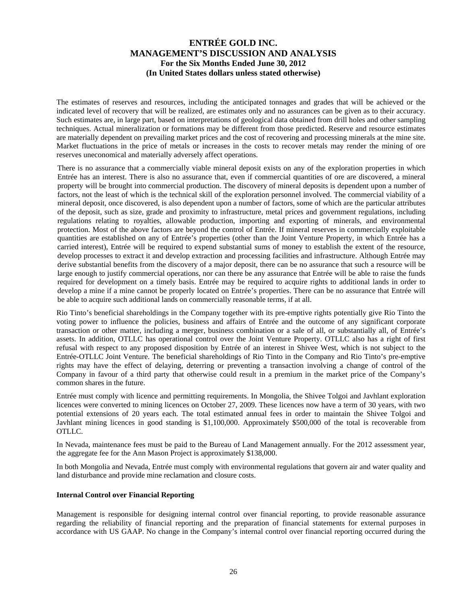The estimates of reserves and resources, including the anticipated tonnages and grades that will be achieved or the indicated level of recovery that will be realized, are estimates only and no assurances can be given as to their accuracy. Such estimates are, in large part, based on interpretations of geological data obtained from drill holes and other sampling techniques. Actual mineralization or formations may be different from those predicted. Reserve and resource estimates are materially dependent on prevailing market prices and the cost of recovering and processing minerals at the mine site. Market fluctuations in the price of metals or increases in the costs to recover metals may render the mining of ore reserves uneconomical and materially adversely affect operations.

There is no assurance that a commercially viable mineral deposit exists on any of the exploration properties in which Entrée has an interest. There is also no assurance that, even if commercial quantities of ore are discovered, a mineral property will be brought into commercial production. The discovery of mineral deposits is dependent upon a number of factors, not the least of which is the technical skill of the exploration personnel involved. The commercial viability of a mineral deposit, once discovered, is also dependent upon a number of factors, some of which are the particular attributes of the deposit, such as size, grade and proximity to infrastructure, metal prices and government regulations, including regulations relating to royalties, allowable production, importing and exporting of minerals, and environmental protection. Most of the above factors are beyond the control of Entrée. If mineral reserves in commercially exploitable quantities are established on any of Entrée's properties (other than the Joint Venture Property, in which Entrée has a carried interest), Entrée will be required to expend substantial sums of money to establish the extent of the resource, develop processes to extract it and develop extraction and processing facilities and infrastructure. Although Entrée may derive substantial benefits from the discovery of a major deposit, there can be no assurance that such a resource will be large enough to justify commercial operations, nor can there be any assurance that Entrée will be able to raise the funds required for development on a timely basis. Entrée may be required to acquire rights to additional lands in order to develop a mine if a mine cannot be properly located on Entrée's properties. There can be no assurance that Entrée will be able to acquire such additional lands on commercially reasonable terms, if at all.

Rio Tinto's beneficial shareholdings in the Company together with its pre-emptive rights potentially give Rio Tinto the voting power to influence the policies, business and affairs of Entrée and the outcome of any significant corporate transaction or other matter, including a merger, business combination or a sale of all, or substantially all, of Entrée's assets. In addition, OTLLC has operational control over the Joint Venture Property. OTLLC also has a right of first refusal with respect to any proposed disposition by Entrée of an interest in Shivee West, which is not subject to the Entrée-OTLLC Joint Venture. The beneficial shareholdings of Rio Tinto in the Company and Rio Tinto's pre-emptive rights may have the effect of delaying, deterring or preventing a transaction involving a change of control of the Company in favour of a third party that otherwise could result in a premium in the market price of the Company's common shares in the future.

Entrée must comply with licence and permitting requirements. In Mongolia, the Shivee Tolgoi and Javhlant exploration licences were converted to mining licences on October 27, 2009. These licences now have a term of 30 years, with two potential extensions of 20 years each. The total estimated annual fees in order to maintain the Shivee Tolgoi and Javhlant mining licences in good standing is \$1,100,000. Approximately \$500,000 of the total is recoverable from OTLLC.

In Nevada, maintenance fees must be paid to the Bureau of Land Management annually. For the 2012 assessment year, the aggregate fee for the Ann Mason Project is approximately \$138,000.

In both Mongolia and Nevada, Entrée must comply with environmental regulations that govern air and water quality and land disturbance and provide mine reclamation and closure costs.

### **Internal Control over Financial Reporting**

Management is responsible for designing internal control over financial reporting, to provide reasonable assurance regarding the reliability of financial reporting and the preparation of financial statements for external purposes in accordance with US GAAP. No change in the Company's internal control over financial reporting occurred during the